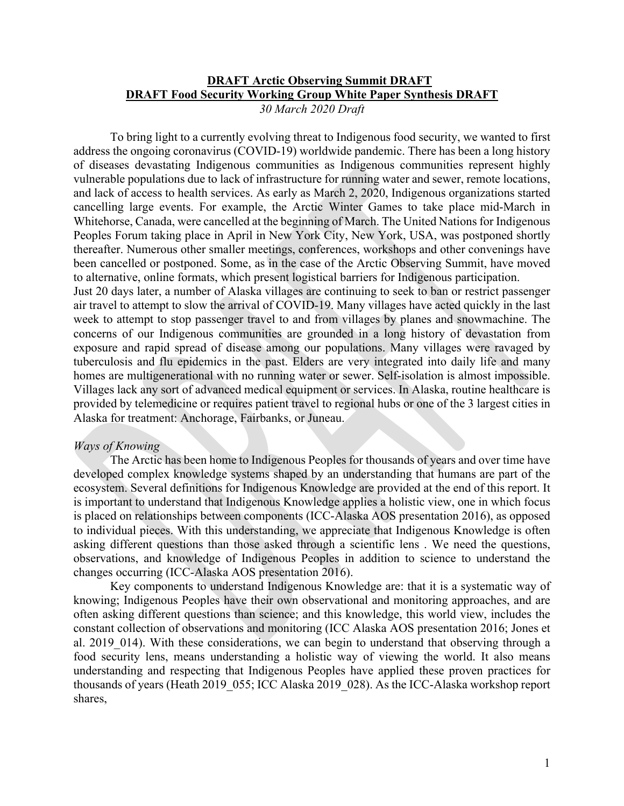### **DRAFT Arctic Observing Summit DRAFT DRAFT Food Security Working Group White Paper Synthesis DRAFT** *30 March 2020 Draft*

To bring light to a currently evolving threat to Indigenous food security, we wanted to first address the ongoing coronavirus (COVID-19) worldwide pandemic. There has been a long history of diseases devastating Indigenous communities as Indigenous communities represent highly vulnerable populations due to lack of infrastructure for running water and sewer, remote locations, and lack of access to health services. As early as March 2, 2020, Indigenous organizations started cancelling large events. For example, the Arctic Winter Games to take place mid-March in Whitehorse, Canada, were cancelled at the beginning of March. The United Nations for Indigenous Peoples Forum taking place in April in New York City, New York, USA, was postponed shortly thereafter. Numerous other smaller meetings, conferences, workshops and other convenings have been cancelled or postponed. Some, as in the case of the Arctic Observing Summit, have moved to alternative, online formats, which present logistical barriers for Indigenous participation.

Just 20 days later, a number of Alaska villages are continuing to seek to ban or restrict passenger air travel to attempt to slow the arrival of COVID-19. Many villages have acted quickly in the last week to attempt to stop passenger travel to and from villages by planes and snowmachine. The concerns of our Indigenous communities are grounded in a long history of devastation from exposure and rapid spread of disease among our populations. Many villages were ravaged by tuberculosis and flu epidemics in the past. Elders are very integrated into daily life and many homes are multigenerational with no running water or sewer. Self-isolation is almost impossible. Villages lack any sort of advanced medical equipment or services. In Alaska, routine healthcare is provided by telemedicine or requires patient travel to regional hubs or one of the 3 largest cities in Alaska for treatment: Anchorage, Fairbanks, or Juneau.

### *Ways of Knowing*

The Arctic has been home to Indigenous Peoples for thousands of years and over time have developed complex knowledge systems shaped by an understanding that humans are part of the ecosystem. Several definitions for Indigenous Knowledge are provided at the end of this report. It is important to understand that Indigenous Knowledge applies a holistic view, one in which focus is placed on relationships between components (ICC-Alaska AOS presentation 2016), as opposed to individual pieces. With this understanding, we appreciate that Indigenous Knowledge is often asking different questions than those asked through a scientific lens . We need the questions, observations, and knowledge of Indigenous Peoples in addition to science to understand the changes occurring (ICC-Alaska AOS presentation 2016).

Key components to understand Indigenous Knowledge are: that it is a systematic way of knowing; Indigenous Peoples have their own observational and monitoring approaches, and are often asking different questions than science; and this knowledge, this world view, includes the constant collection of observations and monitoring (ICC Alaska AOS presentation 2016; Jones et al. 2019 014). With these considerations, we can begin to understand that observing through a food security lens, means understanding a holistic way of viewing the world. It also means understanding and respecting that Indigenous Peoples have applied these proven practices for thousands of years (Heath 2019\_055; ICC Alaska 2019\_028). As the ICC-Alaska workshop report shares,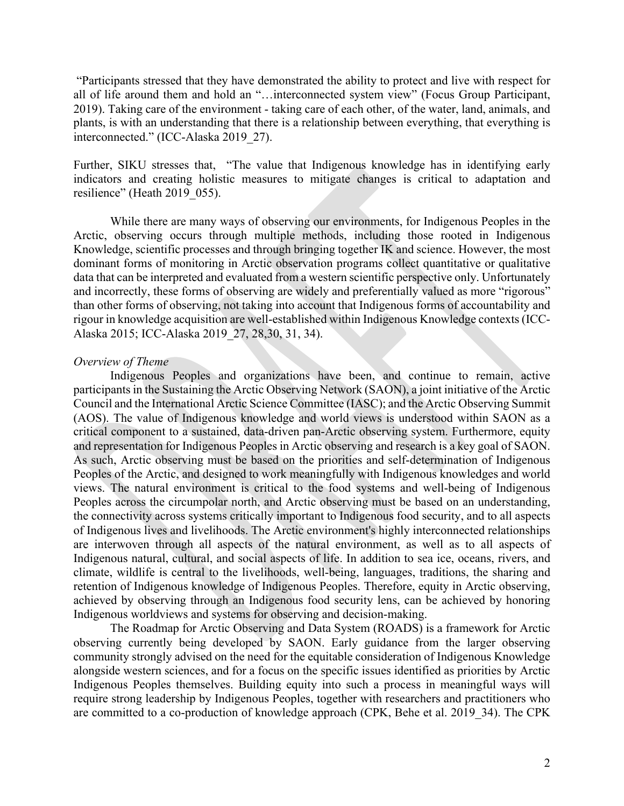"Participants stressed that they have demonstrated the ability to protect and live with respect for all of life around them and hold an "…interconnected system view" (Focus Group Participant, 2019). Taking care of the environment - taking care of each other, of the water, land, animals, and plants, is with an understanding that there is a relationship between everything, that everything is interconnected." (ICC-Alaska 2019\_27).

Further, SIKU stresses that, "The value that Indigenous knowledge has in identifying early indicators and creating holistic measures to mitigate changes is critical to adaptation and resilience" (Heath 2019 055).

While there are many ways of observing our environments, for Indigenous Peoples in the Arctic, observing occurs through multiple methods, including those rooted in Indigenous Knowledge, scientific processes and through bringing together IK and science. However, the most dominant forms of monitoring in Arctic observation programs collect quantitative or qualitative data that can be interpreted and evaluated from a western scientific perspective only. Unfortunately and incorrectly, these forms of observing are widely and preferentially valued as more "rigorous" than other forms of observing, not taking into account that Indigenous forms of accountability and rigour in knowledge acquisition are well-established within Indigenous Knowledge contexts (ICC-Alaska 2015; ICC-Alaska 2019\_27, 28,30, 31, 34).

#### *Overview of Theme*

Indigenous Peoples and organizations have been, and continue to remain, active participants in the Sustaining the Arctic Observing Network (SAON), a joint initiative of the Arctic Council and the International Arctic Science Committee (IASC); and the Arctic Observing Summit (AOS). The value of Indigenous knowledge and world views is understood within SAON as a critical component to a sustained, data-driven pan-Arctic observing system. Furthermore, equity and representation for Indigenous Peoples in Arctic observing and research is a key goal of SAON. As such, Arctic observing must be based on the priorities and self-determination of Indigenous Peoples of the Arctic, and designed to work meaningfully with Indigenous knowledges and world views. The natural environment is critical to the food systems and well-being of Indigenous Peoples across the circumpolar north, and Arctic observing must be based on an understanding, the connectivity across systems critically important to Indigenous food security, and to all aspects of Indigenous lives and livelihoods. The Arctic environment's highly interconnected relationships are interwoven through all aspects of the natural environment, as well as to all aspects of Indigenous natural, cultural, and social aspects of life. In addition to sea ice, oceans, rivers, and climate, wildlife is central to the livelihoods, well-being, languages, traditions, the sharing and retention of Indigenous knowledge of Indigenous Peoples. Therefore, equity in Arctic observing, achieved by observing through an Indigenous food security lens, can be achieved by honoring Indigenous worldviews and systems for observing and decision-making.

The Roadmap for Arctic Observing and Data System (ROADS) is a framework for Arctic observing currently being developed by SAON. Early guidance from the larger observing community strongly advised on the need for the equitable consideration of Indigenous Knowledge alongside western sciences, and for a focus on the specific issues identified as priorities by Arctic Indigenous Peoples themselves. Building equity into such a process in meaningful ways will require strong leadership by Indigenous Peoples, together with researchers and practitioners who are committed to a co-production of knowledge approach (CPK, Behe et al. 2019\_34). The CPK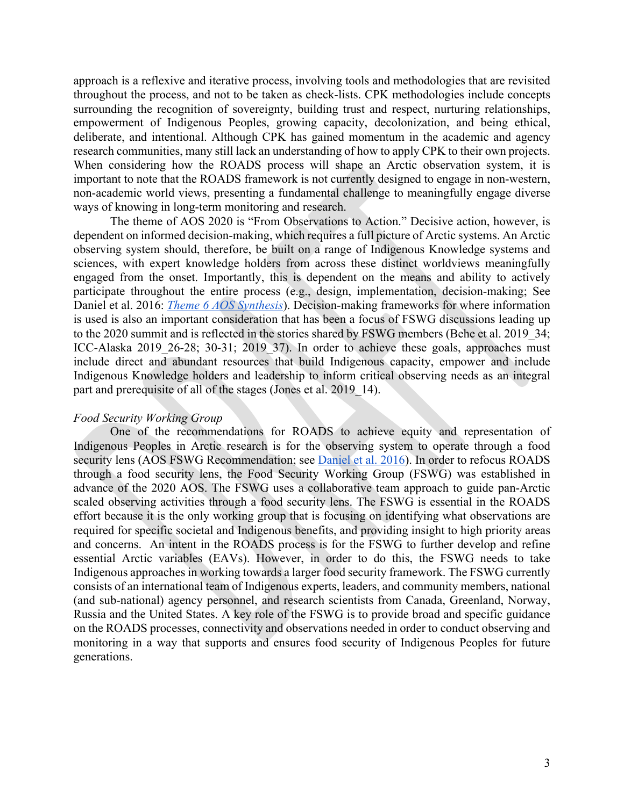approach is a reflexive and iterative process, involving tools and methodologies that are revisited throughout the process, and not to be taken as check-lists. CPK methodologies include concepts surrounding the recognition of sovereignty, building trust and respect, nurturing relationships, empowerment of Indigenous Peoples, growing capacity, decolonization, and being ethical, deliberate, and intentional. Although CPK has gained momentum in the academic and agency research communities, many still lack an understanding of how to apply CPK to their own projects. When considering how the ROADS process will shape an Arctic observation system, it is important to note that the ROADS framework is not currently designed to engage in non-western, non-academic world views, presenting a fundamental challenge to meaningfully engage diverse ways of knowing in long-term monitoring and research.

The theme of AOS 2020 is "From Observations to Action." Decisive action, however, is dependent on informed decision-making, which requires a full picture of Arctic systems. An Arctic observing system should, therefore, be built on a range of Indigenous Knowledge systems and sciences, with expert knowledge holders from across these distinct worldviews meaningfully engaged from the onset. Importantly, this is dependent on the means and ability to actively participate throughout the entire process (e.g., design, implementation, decision-making; See Daniel et al. 2016: *Theme 6 AOS Synthesis*). Decision-making frameworks for where information is used is also an important consideration that has been a focus of FSWG discussions leading up to the 2020 summit and is reflected in the stories shared by FSWG members (Behe et al. 2019\_34; ICC-Alaska 2019 26-28; 30-31; 2019 37). In order to achieve these goals, approaches must include direct and abundant resources that build Indigenous capacity, empower and include Indigenous Knowledge holders and leadership to inform critical observing needs as an integral part and prerequisite of all of the stages (Jones et al. 2019\_14).

### *Food Security Working Group*

One of the recommendations for ROADS to achieve equity and representation of Indigenous Peoples in Arctic research is for the observing system to operate through a food security lens (AOS FSWG Recommendation; see Daniel et al. 2016). In order to refocus ROADS through a food security lens, the Food Security Working Group (FSWG) was established in advance of the 2020 AOS. The FSWG uses a collaborative team approach to guide pan-Arctic scaled observing activities through a food security lens. The FSWG is essential in the ROADS effort because it is the only working group that is focusing on identifying what observations are required for specific societal and Indigenous benefits, and providing insight to high priority areas and concerns. An intent in the ROADS process is for the FSWG to further develop and refine essential Arctic variables (EAVs). However, in order to do this, the FSWG needs to take Indigenous approaches in working towards a larger food security framework. The FSWG currently consists of an international team of Indigenous experts, leaders, and community members, national (and sub-national) agency personnel, and research scientists from Canada, Greenland, Norway, Russia and the United States. A key role of the FSWG is to provide broad and specific guidance on the ROADS processes, connectivity and observations needed in order to conduct observing and monitoring in a way that supports and ensures food security of Indigenous Peoples for future generations.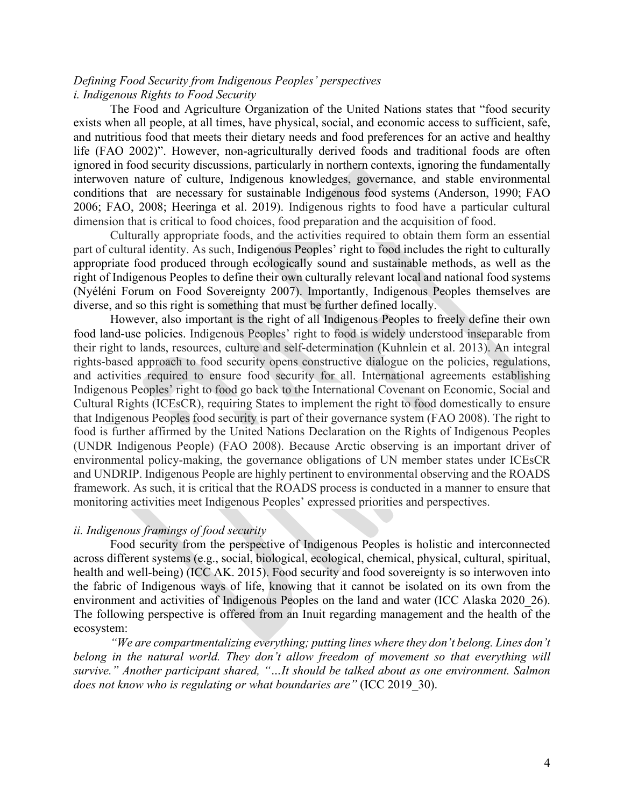## *Defining Food Security from Indigenous Peoples' perspectives i. Indigenous Rights to Food Security*

The Food and Agriculture Organization of the United Nations states that "food security exists when all people, at all times, have physical, social, and economic access to sufficient, safe, and nutritious food that meets their dietary needs and food preferences for an active and healthy life (FAO 2002)". However, non-agriculturally derived foods and traditional foods are often ignored in food security discussions, particularly in northern contexts, ignoring the fundamentally interwoven nature of culture, Indigenous knowledges, governance, and stable environmental conditions that are necessary for sustainable Indigenous food systems (Anderson, 1990; FAO 2006; FAO, 2008; Heeringa et al. 2019). Indigenous rights to food have a particular cultural dimension that is critical to food choices, food preparation and the acquisition of food.

Culturally appropriate foods, and the activities required to obtain them form an essential part of cultural identity. As such, Indigenous Peoples' right to food includes the right to culturally appropriate food produced through ecologically sound and sustainable methods, as well as the right of Indigenous Peoples to define their own culturally relevant local and national food systems (Nyéléni Forum on Food Sovereignty 2007). Importantly, Indigenous Peoples themselves are diverse, and so this right is something that must be further defined locally.

However, also important is the right of all Indigenous Peoples to freely define their own food land-use policies. Indigenous Peoples' right to food is widely understood inseparable from their right to lands, resources, culture and self-determination (Kuhnlein et al. 2013). An integral rights-based approach to food security opens constructive dialogue on the policies, regulations, and activities required to ensure food security for all. International agreements establishing Indigenous Peoples' right to food go back to the International Covenant on Economic, Social and Cultural Rights (ICEsCR), requiring States to implement the right to food domestically to ensure that Indigenous Peoples food security is part of their governance system (FAO 2008). The right to food is further affirmed by the United Nations Declaration on the Rights of Indigenous Peoples (UNDR Indigenous People) (FAO 2008). Because Arctic observing is an important driver of environmental policy-making, the governance obligations of UN member states under ICEsCR and UNDRIP. Indigenous People are highly pertinent to environmental observing and the ROADS framework. As such, it is critical that the ROADS process is conducted in a manner to ensure that monitoring activities meet Indigenous Peoples' expressed priorities and perspectives.

#### *ii. Indigenous framings of food security*

Food security from the perspective of Indigenous Peoples is holistic and interconnected across different systems (e.g., social, biological, ecological, chemical, physical, cultural, spiritual, health and well-being) (ICC AK. 2015). Food security and food sovereignty is so interwoven into the fabric of Indigenous ways of life, knowing that it cannot be isolated on its own from the environment and activities of Indigenous Peoples on the land and water (ICC Alaska 2020\_26). The following perspective is offered from an Inuit regarding management and the health of the ecosystem:

*"We are compartmentalizing everything; putting lines where they don't belong. Lines don't*  belong in the natural world. They don't allow freedom of movement so that everything will *survive." Another participant shared, "…It should be talked about as one environment. Salmon does not know who is regulating or what boundaries are"* (ICC 2019\_30).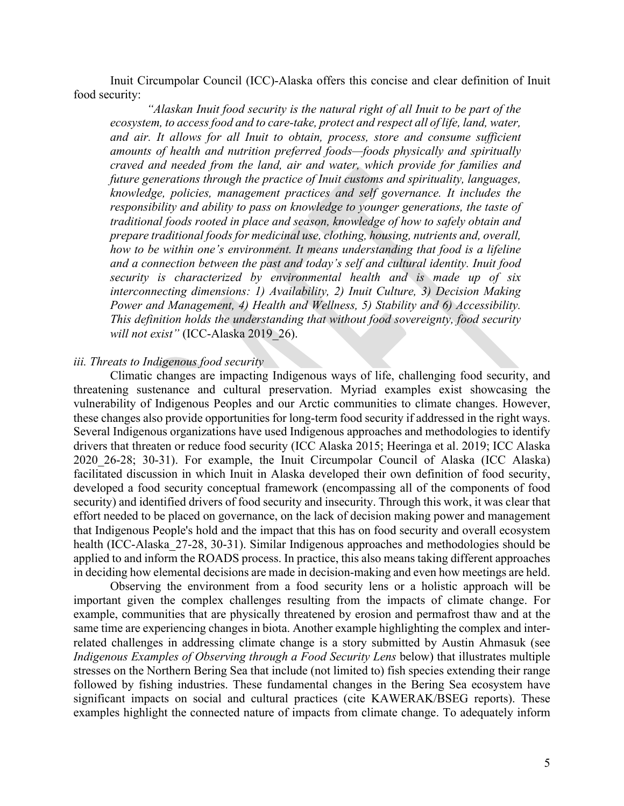Inuit Circumpolar Council (ICC)-Alaska offers this concise and clear definition of Inuit food security:

*"Alaskan Inuit food security is the natural right of all Inuit to be part of the ecosystem, to access food and to care-take, protect and respect all of life, land, water,*  and air. It allows for all Inuit to obtain, process, store and consume sufficient *amounts of health and nutrition preferred foods—foods physically and spiritually craved and needed from the land, air and water, which provide for families and future generations through the practice of Inuit customs and spirituality, languages, knowledge, policies, management practices and self governance. It includes the responsibility and ability to pass on knowledge to younger generations, the taste of traditional foods rooted in place and season, knowledge of how to safely obtain and prepare traditional foods for medicinal use, clothing, housing, nutrients and, overall, how to be within one's environment. It means understanding that food is a lifeline and a connection between the past and today's self and cultural identity. Inuit food security is characterized by environmental health and is made up of six interconnecting dimensions: 1) Availability, 2) Inuit Culture, 3) Decision Making Power and Management, 4) Health and Wellness, 5) Stability and 6) Accessibility. This definition holds the understanding that without food sovereignty, food security will not exist"* (ICC-Alaska 2019\_26).

#### *iii. Threats to Indigenous food security*

Climatic changes are impacting Indigenous ways of life, challenging food security, and threatening sustenance and cultural preservation. Myriad examples exist showcasing the vulnerability of Indigenous Peoples and our Arctic communities to climate changes. However, these changes also provide opportunities for long-term food security if addressed in the right ways. Several Indigenous organizations have used Indigenous approaches and methodologies to identify drivers that threaten or reduce food security (ICC Alaska 2015; Heeringa et al. 2019; ICC Alaska 2020\_26-28; 30-31). For example, the Inuit Circumpolar Council of Alaska (ICC Alaska) facilitated discussion in which Inuit in Alaska developed their own definition of food security, developed a food security conceptual framework (encompassing all of the components of food security) and identified drivers of food security and insecurity. Through this work, it was clear that effort needed to be placed on governance, on the lack of decision making power and management that Indigenous People's hold and the impact that this has on food security and overall ecosystem health (ICC-Alaska\_27-28, 30-31). Similar Indigenous approaches and methodologies should be applied to and inform the ROADS process. In practice, this also means taking different approaches in deciding how elemental decisions are made in decision-making and even how meetings are held.

Observing the environment from a food security lens or a holistic approach will be important given the complex challenges resulting from the impacts of climate change. For example, communities that are physically threatened by erosion and permafrost thaw and at the same time are experiencing changes in biota. Another example highlighting the complex and interrelated challenges in addressing climate change is a story submitted by Austin Ahmasuk (see *Indigenous Examples of Observing through a Food Security Lens* below) that illustrates multiple stresses on the Northern Bering Sea that include (not limited to) fish species extending their range followed by fishing industries. These fundamental changes in the Bering Sea ecosystem have significant impacts on social and cultural practices (cite KAWERAK/BSEG reports). These examples highlight the connected nature of impacts from climate change. To adequately inform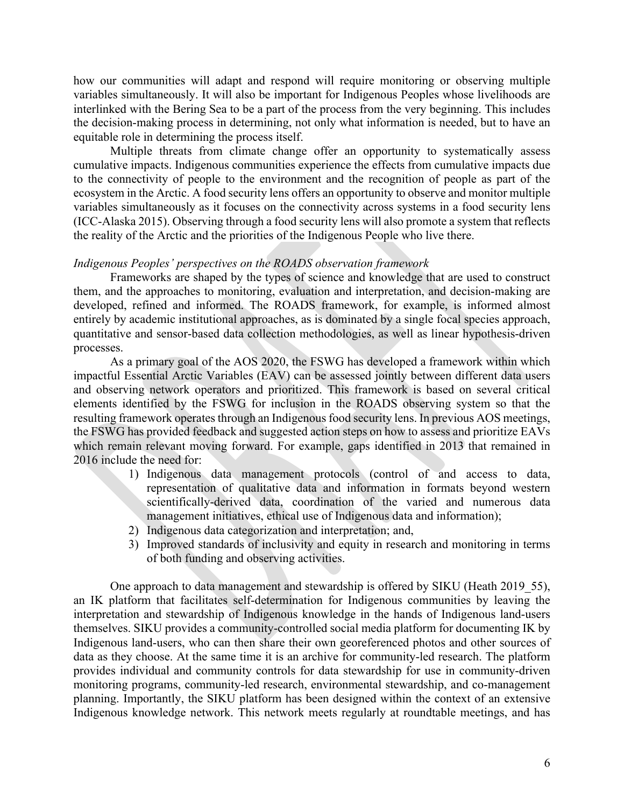how our communities will adapt and respond will require monitoring or observing multiple variables simultaneously. It will also be important for Indigenous Peoples whose livelihoods are interlinked with the Bering Sea to be a part of the process from the very beginning. This includes the decision-making process in determining, not only what information is needed, but to have an equitable role in determining the process itself.

Multiple threats from climate change offer an opportunity to systematically assess cumulative impacts. Indigenous communities experience the effects from cumulative impacts due to the connectivity of people to the environment and the recognition of people as part of the ecosystem in the Arctic. A food security lens offers an opportunity to observe and monitor multiple variables simultaneously as it focuses on the connectivity across systems in a food security lens (ICC-Alaska 2015). Observing through a food security lens will also promote a system that reflects the reality of the Arctic and the priorities of the Indigenous People who live there.

### *Indigenous Peoples' perspectives on the ROADS observation framework*

Frameworks are shaped by the types of science and knowledge that are used to construct them, and the approaches to monitoring, evaluation and interpretation, and decision-making are developed, refined and informed. The ROADS framework, for example, is informed almost entirely by academic institutional approaches, as is dominated by a single focal species approach, quantitative and sensor-based data collection methodologies, as well as linear hypothesis-driven processes.

As a primary goal of the AOS 2020, the FSWG has developed a framework within which impactful Essential Arctic Variables (EAV) can be assessed jointly between different data users and observing network operators and prioritized. This framework is based on several critical elements identified by the FSWG for inclusion in the ROADS observing system so that the resulting framework operates through an Indigenous food security lens. In previous AOS meetings, the FSWG has provided feedback and suggested action steps on how to assess and prioritize EAVs which remain relevant moving forward. For example, gaps identified in 2013 that remained in 2016 include the need for:

- 1) Indigenous data management protocols (control of and access to data, representation of qualitative data and information in formats beyond western scientifically-derived data, coordination of the varied and numerous data management initiatives, ethical use of Indigenous data and information);
- 2) Indigenous data categorization and interpretation; and,
- 3) Improved standards of inclusivity and equity in research and monitoring in terms of both funding and observing activities.

One approach to data management and stewardship is offered by SIKU (Heath 2019 55), an IK platform that facilitates self-determination for Indigenous communities by leaving the interpretation and stewardship of Indigenous knowledge in the hands of Indigenous land-users themselves. SIKU provides a community-controlled social media platform for documenting IK by Indigenous land-users, who can then share their own georeferenced photos and other sources of data as they choose. At the same time it is an archive for community-led research. The platform provides individual and community controls for data stewardship for use in community-driven monitoring programs, community-led research, environmental stewardship, and co-management planning. Importantly, the SIKU platform has been designed within the context of an extensive Indigenous knowledge network. This network meets regularly at roundtable meetings, and has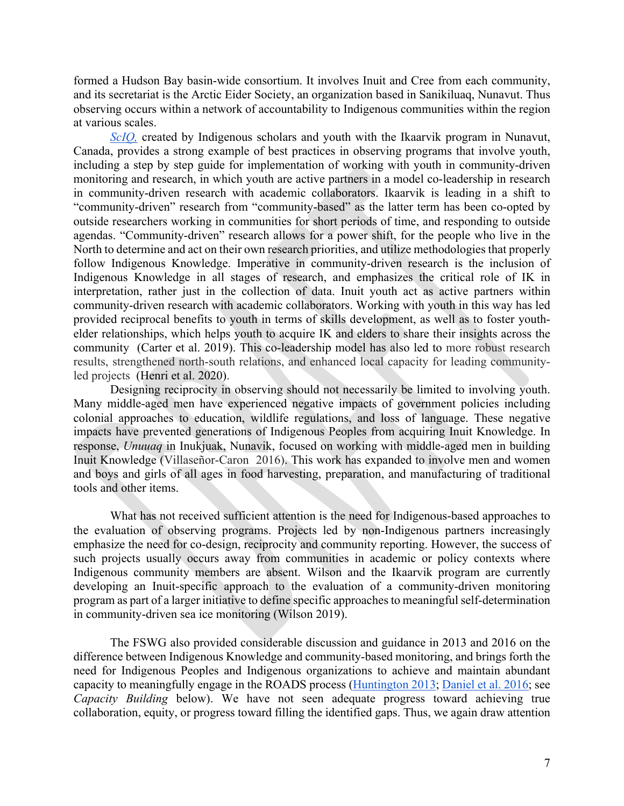formed a Hudson Bay basin-wide consortium. It involves Inuit and Cree from each community, and its secretariat is the Arctic Eider Society, an organization based in Sanikiluaq, Nunavut. Thus observing occurs within a network of accountability to Indigenous communities within the region at various scales.

*ScIQ*, created by Indigenous scholars and youth with the Ikaarvik program in Nunavut, Canada, provides a strong example of best practices in observing programs that involve youth, including a step by step guide for implementation of working with youth in community-driven monitoring and research, in which youth are active partners in a model co-leadership in research in community-driven research with academic collaborators. Ikaarvik is leading in a shift to "community-driven" research from "community-based" as the latter term has been co-opted by outside researchers working in communities for short periods of time, and responding to outside agendas. "Community-driven" research allows for a power shift, for the people who live in the North to determine and act on their own research priorities, and utilize methodologies that properly follow Indigenous Knowledge. Imperative in community-driven research is the inclusion of Indigenous Knowledge in all stages of research, and emphasizes the critical role of IK in interpretation, rather just in the collection of data. Inuit youth act as active partners within community-driven research with academic collaborators. Working with youth in this way has led provided reciprocal benefits to youth in terms of skills development, as well as to foster youthelder relationships, which helps youth to acquire IK and elders to share their insights across the community (Carter et al. 2019). This co-leadership model has also led to more robust research results, strengthened north-south relations, and enhanced local capacity for leading communityled projects (Henri et al. 2020).

Designing reciprocity in observing should not necessarily be limited to involving youth. Many middle-aged men have experienced negative impacts of government policies including colonial approaches to education, wildlife regulations, and loss of language. These negative impacts have prevented generations of Indigenous Peoples from acquiring Inuit Knowledge. In response, *Unuuaq* in Inukjuak, Nunavik, focused on working with middle-aged men in building Inuit Knowledge (Villaseñor-Caron 2016). This work has expanded to involve men and women and boys and girls of all ages in food harvesting, preparation, and manufacturing of traditional tools and other items.

What has not received sufficient attention is the need for Indigenous-based approaches to the evaluation of observing programs. Projects led by non-Indigenous partners increasingly emphasize the need for co-design, reciprocity and community reporting. However, the success of such projects usually occurs away from communities in academic or policy contexts where Indigenous community members are absent. Wilson and the Ikaarvik program are currently developing an Inuit-specific approach to the evaluation of a community-driven monitoring program as part of a larger initiative to define specific approaches to meaningful self-determination in community-driven sea ice monitoring (Wilson 2019).

The FSWG also provided considerable discussion and guidance in 2013 and 2016 on the difference between Indigenous Knowledge and community-based monitoring, and brings forth the need for Indigenous Peoples and Indigenous organizations to achieve and maintain abundant capacity to meaningfully engage in the ROADS process (Huntington 2013; Daniel et al. 2016; see *Capacity Building* below). We have not seen adequate progress toward achieving true collaboration, equity, or progress toward filling the identified gaps. Thus, we again draw attention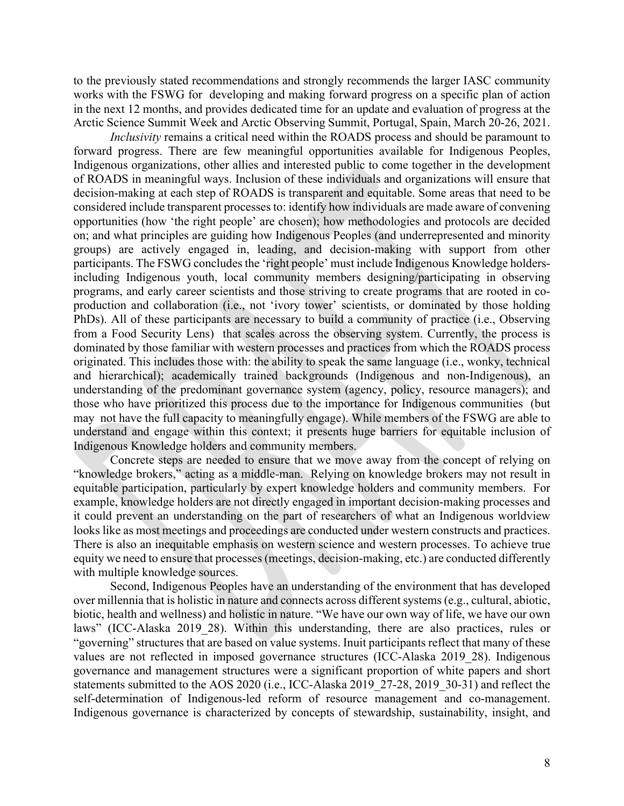to the previously stated recommendations and strongly recommends the larger IASC community works with the FSWG for developing and making forward progress on a specific plan of action in the next 12 months, and provides dedicated time for an update and evaluation of progress at the Arctic Science Summit Week and Arctic Observing Summit, Portugal, Spain, March 20-26, 2021.

*Inclusivity* remains a critical need within the ROADS process and should be paramount to forward progress. There are few meaningful opportunities available for Indigenous Peoples, Indigenous organizations, other allies and interested public to come together in the development of ROADS in meaningful ways. Inclusion of these individuals and organizations will ensure that decision-making at each step of ROADS is transparent and equitable. Some areas that need to be considered include transparent processes to: identify how individuals are made aware of convening opportunities (how 'the right people' are chosen); how methodologies and protocols are decided on; and what principles are guiding how Indigenous Peoples (and underrepresented and minority groups) are actively engaged in, leading, and decision-making with support from other participants. The FSWG concludes the 'right people' must include Indigenous Knowledge holdersincluding Indigenous youth, local community members designing/participating in observing programs, and early career scientists and those striving to create programs that are rooted in coproduction and collaboration (i.e., not 'ivory tower' scientists, or dominated by those holding PhDs). All of these participants are necessary to build a community of practice (i.e., Observing from a Food Security Lens) that scales across the observing system. Currently, the process is dominated by those familiar with western processes and practices from which the ROADS process originated. This includes those with: the ability to speak the same language (i.e., wonky, technical and hierarchical); academically trained backgrounds (Indigenous and non-Indigenous), an understanding of the predominant governance system (agency, policy, resource managers); and those who have prioritized this process due to the importance for Indigenous communities (but may not have the full capacity to meaningfully engage). While members of the FSWG are able to understand and engage within this context; it presents huge barriers for equitable inclusion of Indigenous Knowledge holders and community members.

Concrete steps are needed to ensure that we move away from the concept of relying on "knowledge brokers," acting as a middle-man. Relying on knowledge brokers may not result in equitable participation, particularly by expert knowledge holders and community members. For example, knowledge holders are not directly engaged in important decision-making processes and it could prevent an understanding on the part of researchers of what an Indigenous worldview looks like as most meetings and proceedings are conducted under western constructs and practices. There is also an inequitable emphasis on western science and western processes. To achieve true equity we need to ensure that processes (meetings, decision-making, etc.) are conducted differently with multiple knowledge sources.

Second, Indigenous Peoples have an understanding of the environment that has developed over millennia that is holistic in nature and connects across different systems (e.g., cultural, abiotic, biotic, health and wellness) and holistic in nature. "We have our own way of life, we have our own laws" (ICC-Alaska 2019 28). Within this understanding, there are also practices, rules or "governing" structures that are based on value systems. Inuit participants reflect that many of these values are not reflected in imposed governance structures (ICC-Alaska 2019\_28). Indigenous governance and management structures were a significant proportion of white papers and short statements submitted to the AOS 2020 (i.e., ICC-Alaska 2019 27-28, 2019 30-31) and reflect the self-determination of Indigenous-led reform of resource management and co-management. Indigenous governance is characterized by concepts of stewardship, sustainability, insight, and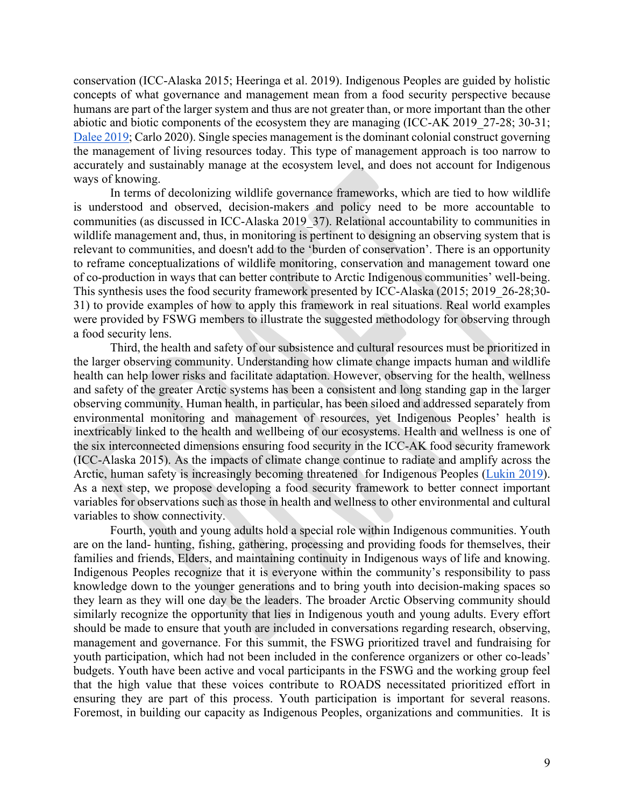conservation (ICC-Alaska 2015; Heeringa et al. 2019). Indigenous Peoples are guided by holistic concepts of what governance and management mean from a food security perspective because humans are part of the larger system and thus are not greater than, or more important than the other abiotic and biotic components of the ecosystem they are managing (ICC-AK 2019\_27-28; 30-31; Dalee 2019; Carlo 2020). Single species management is the dominant colonial construct governing the management of living resources today. This type of management approach is too narrow to accurately and sustainably manage at the ecosystem level, and does not account for Indigenous ways of knowing.

In terms of decolonizing wildlife governance frameworks, which are tied to how wildlife is understood and observed, decision-makers and policy need to be more accountable to communities (as discussed in ICC-Alaska 2019\_37). Relational accountability to communities in wildlife management and, thus, in monitoring is pertinent to designing an observing system that is relevant to communities, and doesn't add to the 'burden of conservation'. There is an opportunity to reframe conceptualizations of wildlife monitoring, conservation and management toward one of co-production in ways that can better contribute to Arctic Indigenous communities' well-being. This synthesis uses the food security framework presented by ICC-Alaska (2015; 2019\_26-28;30- 31) to provide examples of how to apply this framework in real situations. Real world examples were provided by FSWG members to illustrate the suggested methodology for observing through a food security lens.

Third, the health and safety of our subsistence and cultural resources must be prioritized in the larger observing community. Understanding how climate change impacts human and wildlife health can help lower risks and facilitate adaptation. However, observing for the health, wellness and safety of the greater Arctic systems has been a consistent and long standing gap in the larger observing community. Human health, in particular, has been siloed and addressed separately from environmental monitoring and management of resources, yet Indigenous Peoples' health is inextricably linked to the health and wellbeing of our ecosystems. Health and wellness is one of the six interconnected dimensions ensuring food security in the ICC-AK food security framework (ICC-Alaska 2015). As the impacts of climate change continue to radiate and amplify across the Arctic, human safety is increasingly becoming threatened for Indigenous Peoples (Lukin 2019). As a next step, we propose developing a food security framework to better connect important variables for observations such as those in health and wellness to other environmental and cultural variables to show connectivity.

Fourth, youth and young adults hold a special role within Indigenous communities. Youth are on the land- hunting, fishing, gathering, processing and providing foods for themselves, their families and friends, Elders, and maintaining continuity in Indigenous ways of life and knowing. Indigenous Peoples recognize that it is everyone within the community's responsibility to pass knowledge down to the younger generations and to bring youth into decision-making spaces so they learn as they will one day be the leaders. The broader Arctic Observing community should similarly recognize the opportunity that lies in Indigenous youth and young adults. Every effort should be made to ensure that youth are included in conversations regarding research, observing, management and governance. For this summit, the FSWG prioritized travel and fundraising for youth participation, which had not been included in the conference organizers or other co-leads' budgets. Youth have been active and vocal participants in the FSWG and the working group feel that the high value that these voices contribute to ROADS necessitated prioritized effort in ensuring they are part of this process. Youth participation is important for several reasons. Foremost, in building our capacity as Indigenous Peoples, organizations and communities. It is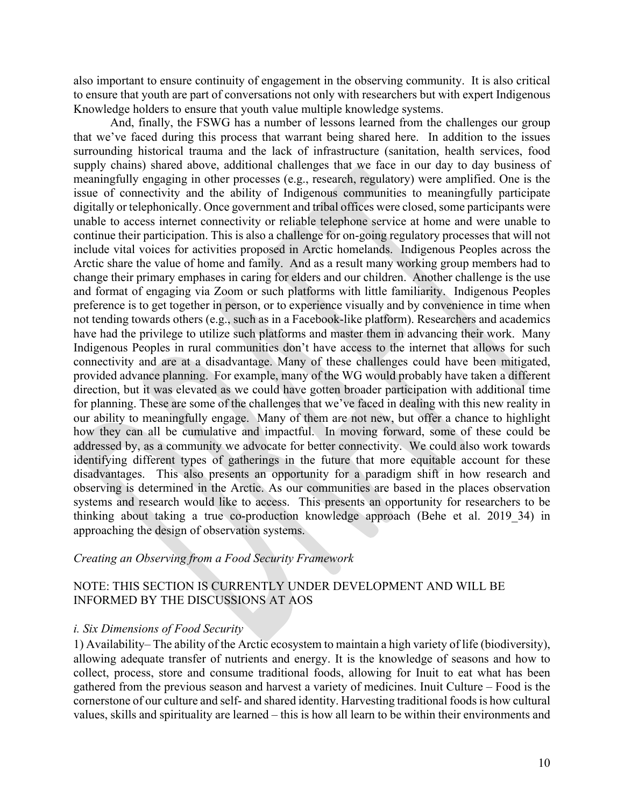also important to ensure continuity of engagement in the observing community. It is also critical to ensure that youth are part of conversations not only with researchers but with expert Indigenous Knowledge holders to ensure that youth value multiple knowledge systems.

And, finally, the FSWG has a number of lessons learned from the challenges our group that we've faced during this process that warrant being shared here. In addition to the issues surrounding historical trauma and the lack of infrastructure (sanitation, health services, food supply chains) shared above, additional challenges that we face in our day to day business of meaningfully engaging in other processes (e.g., research, regulatory) were amplified. One is the issue of connectivity and the ability of Indigenous communities to meaningfully participate digitally or telephonically. Once government and tribal offices were closed, some participants were unable to access internet connectivity or reliable telephone service at home and were unable to continue their participation. This is also a challenge for on-going regulatory processes that will not include vital voices for activities proposed in Arctic homelands. Indigenous Peoples across the Arctic share the value of home and family. And as a result many working group members had to change their primary emphases in caring for elders and our children. Another challenge is the use and format of engaging via Zoom or such platforms with little familiarity. Indigenous Peoples preference is to get together in person, or to experience visually and by convenience in time when not tending towards others (e.g., such as in a Facebook-like platform). Researchers and academics have had the privilege to utilize such platforms and master them in advancing their work. Many Indigenous Peoples in rural communities don't have access to the internet that allows for such connectivity and are at a disadvantage. Many of these challenges could have been mitigated, provided advance planning. For example, many of the WG would probably have taken a different direction, but it was elevated as we could have gotten broader participation with additional time for planning. These are some of the challenges that we've faced in dealing with this new reality in our ability to meaningfully engage. Many of them are not new, but offer a chance to highlight how they can all be cumulative and impactful. In moving forward, some of these could be addressed by, as a community we advocate for better connectivity. We could also work towards identifying different types of gatherings in the future that more equitable account for these disadvantages. This also presents an opportunity for a paradigm shift in how research and observing is determined in the Arctic. As our communities are based in the places observation systems and research would like to access. This presents an opportunity for researchers to be thinking about taking a true co-production knowledge approach (Behe et al. 2019\_34) in approaching the design of observation systems.

### *Creating an Observing from a Food Security Framework*

## NOTE: THIS SECTION IS CURRENTLY UNDER DEVELOPMENT AND WILL BE INFORMED BY THE DISCUSSIONS AT AOS

### *i. Six Dimensions of Food Security*

1) Availability– The ability of the Arctic ecosystem to maintain a high variety of life (biodiversity), allowing adequate transfer of nutrients and energy. It is the knowledge of seasons and how to collect, process, store and consume traditional foods, allowing for Inuit to eat what has been gathered from the previous season and harvest a variety of medicines. Inuit Culture – Food is the cornerstone of our culture and self- and shared identity. Harvesting traditional foods is how cultural values, skills and spirituality are learned – this is how all learn to be within their environments and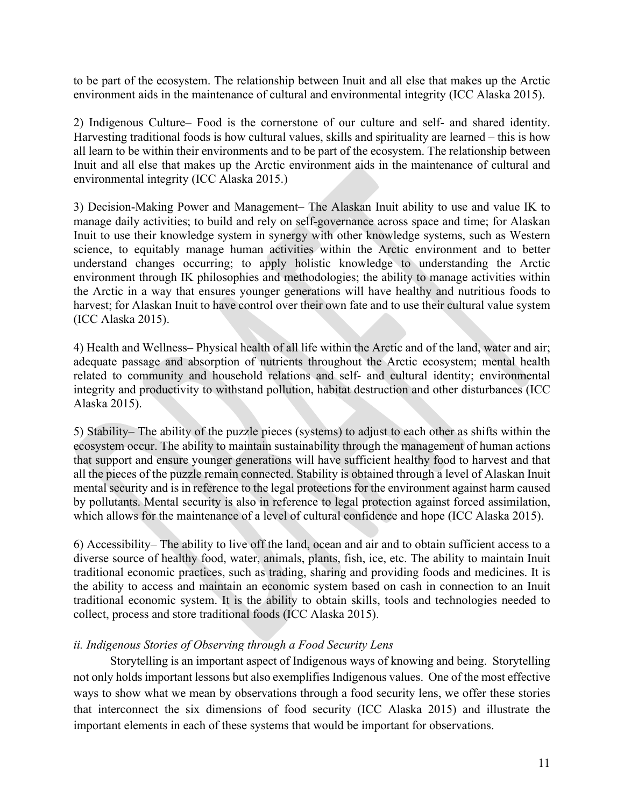to be part of the ecosystem. The relationship between Inuit and all else that makes up the Arctic environment aids in the maintenance of cultural and environmental integrity (ICC Alaska 2015).

2) Indigenous Culture– Food is the cornerstone of our culture and self- and shared identity. Harvesting traditional foods is how cultural values, skills and spirituality are learned – this is how all learn to be within their environments and to be part of the ecosystem. The relationship between Inuit and all else that makes up the Arctic environment aids in the maintenance of cultural and environmental integrity (ICC Alaska 2015.)

3) Decision-Making Power and Management– The Alaskan Inuit ability to use and value IK to manage daily activities; to build and rely on self-governance across space and time; for Alaskan Inuit to use their knowledge system in synergy with other knowledge systems, such as Western science, to equitably manage human activities within the Arctic environment and to better understand changes occurring; to apply holistic knowledge to understanding the Arctic environment through IK philosophies and methodologies; the ability to manage activities within the Arctic in a way that ensures younger generations will have healthy and nutritious foods to harvest; for Alaskan Inuit to have control over their own fate and to use their cultural value system (ICC Alaska 2015).

4) Health and Wellness– Physical health of all life within the Arctic and of the land, water and air; adequate passage and absorption of nutrients throughout the Arctic ecosystem; mental health related to community and household relations and self- and cultural identity; environmental integrity and productivity to withstand pollution, habitat destruction and other disturbances (ICC Alaska 2015).

5) Stability– The ability of the puzzle pieces (systems) to adjust to each other as shifts within the ecosystem occur. The ability to maintain sustainability through the management of human actions that support and ensure younger generations will have sufficient healthy food to harvest and that all the pieces of the puzzle remain connected. Stability is obtained through a level of Alaskan Inuit mental security and is in reference to the legal protections for the environment against harm caused by pollutants. Mental security is also in reference to legal protection against forced assimilation, which allows for the maintenance of a level of cultural confidence and hope (ICC Alaska 2015).

6) Accessibility– The ability to live off the land, ocean and air and to obtain sufficient access to a diverse source of healthy food, water, animals, plants, fish, ice, etc. The ability to maintain Inuit traditional economic practices, such as trading, sharing and providing foods and medicines. It is the ability to access and maintain an economic system based on cash in connection to an Inuit traditional economic system. It is the ability to obtain skills, tools and technologies needed to collect, process and store traditional foods (ICC Alaska 2015).

## *ii. Indigenous Stories of Observing through a Food Security Lens*

Storytelling is an important aspect of Indigenous ways of knowing and being. Storytelling not only holds important lessons but also exemplifies Indigenous values. One of the most effective ways to show what we mean by observations through a food security lens, we offer these stories that interconnect the six dimensions of food security (ICC Alaska 2015) and illustrate the important elements in each of these systems that would be important for observations.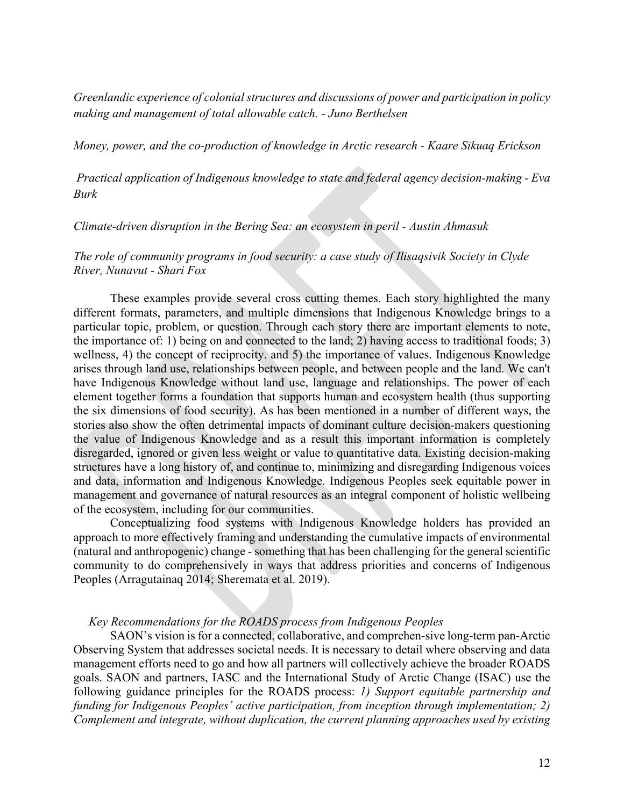*Greenlandic experience of colonial structures and discussions of power and participation in policy making and management of total allowable catch. - Juno Berthelsen*

*Money, power, and the co-production of knowledge in Arctic research - Kaare Sikuaq Erickson*

*Practical application of Indigenous knowledge to state and federal agency decision-making - Eva Burk*

*Climate-driven disruption in the Bering Sea: an ecosystem in peril - Austin Ahmasuk*

### *The role of community programs in food security: a case study of Ilisaqsivik Society in Clyde River, Nunavut - Shari Fox*

These examples provide several cross cutting themes. Each story highlighted the many different formats, parameters, and multiple dimensions that Indigenous Knowledge brings to a particular topic, problem, or question. Through each story there are important elements to note, the importance of: 1) being on and connected to the land; 2) having access to traditional foods; 3) wellness, 4) the concept of reciprocity. and 5) the importance of values. Indigenous Knowledge arises through land use, relationships between people, and between people and the land. We can't have Indigenous Knowledge without land use, language and relationships. The power of each element together forms a foundation that supports human and ecosystem health (thus supporting the six dimensions of food security). As has been mentioned in a number of different ways, the stories also show the often detrimental impacts of dominant culture decision-makers questioning the value of Indigenous Knowledge and as a result this important information is completely disregarded, ignored or given less weight or value to quantitative data. Existing decision-making structures have a long history of, and continue to, minimizing and disregarding Indigenous voices and data, information and Indigenous Knowledge. Indigenous Peoples seek equitable power in management and governance of natural resources as an integral component of holistic wellbeing of the ecosystem, including for our communities.

Conceptualizing food systems with Indigenous Knowledge holders has provided an approach to more effectively framing and understanding the cumulative impacts of environmental (natural and anthropogenic) change - something that has been challenging for the general scientific community to do comprehensively in ways that address priorities and concerns of Indigenous Peoples (Arragutainaq 2014; Sheremata et al. 2019).

### *Key Recommendations for the ROADS process from Indigenous Peoples*

SAON's vision is for a connected, collaborative, and comprehen-sive long-term pan-Arctic Observing System that addresses societal needs. It is necessary to detail where observing and data management efforts need to go and how all partners will collectively achieve the broader ROADS goals. SAON and partners, IASC and the International Study of Arctic Change (ISAC) use the following guidance principles for the ROADS process: *1) Support equitable partnership and funding for Indigenous Peoples' active participation, from inception through implementation; 2) Complement and integrate, without duplication, the current planning approaches used by existing*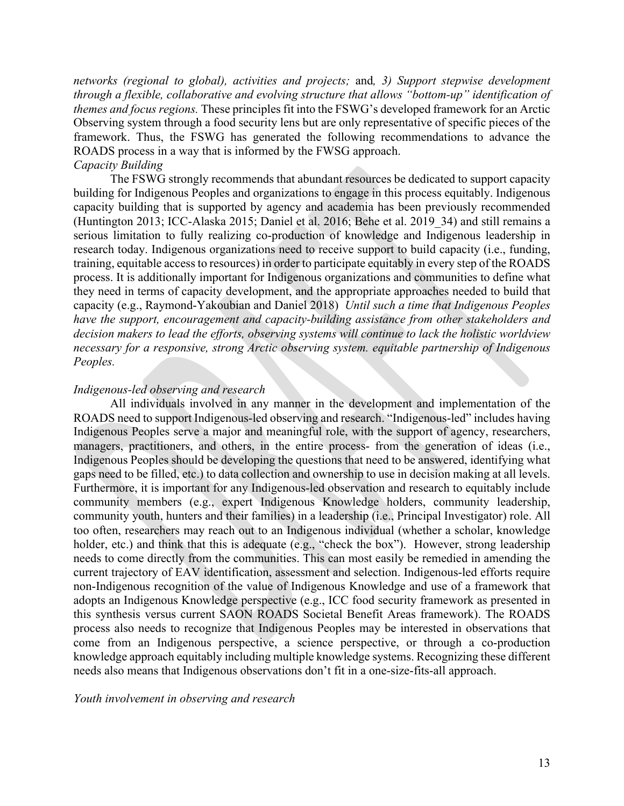*networks (regional to global), activities and projects;* and*, 3) Support stepwise development through a flexible, collaborative and evolving structure that allows "bottom-up" identification of themes and focus regions.* These principles fit into the FSWG's developed framework for an Arctic Observing system through a food security lens but are only representative of specific pieces of the framework. Thus, the FSWG has generated the following recommendations to advance the ROADS process in a way that is informed by the FWSG approach.

## *Capacity Building*

The FSWG strongly recommends that abundant resources be dedicated to support capacity building for Indigenous Peoples and organizations to engage in this process equitably. Indigenous capacity building that is supported by agency and academia has been previously recommended (Huntington 2013; ICC-Alaska 2015; Daniel et al. 2016; Behe et al. 2019\_34) and still remains a serious limitation to fully realizing co-production of knowledge and Indigenous leadership in research today. Indigenous organizations need to receive support to build capacity (i.e., funding, training, equitable access to resources) in order to participate equitably in every step of the ROADS process. It is additionally important for Indigenous organizations and communities to define what they need in terms of capacity development, and the appropriate approaches needed to build that capacity (e.g., Raymond-Yakoubian and Daniel 2018) *Until such a time that Indigenous Peoples have the support, encouragement and capacity-building assistance from other stakeholders and decision makers to lead the efforts, observing systems will continue to lack the holistic worldview necessary for a responsive, strong Arctic observing system. equitable partnership of Indigenous Peoples.*

### *Indigenous-led observing and research*

All individuals involved in any manner in the development and implementation of the ROADS need to support Indigenous-led observing and research. "Indigenous-led" includes having Indigenous Peoples serve a major and meaningful role, with the support of agency, researchers, managers, practitioners, and others, in the entire process- from the generation of ideas (i.e., Indigenous Peoples should be developing the questions that need to be answered, identifying what gaps need to be filled, etc.) to data collection and ownership to use in decision making at all levels. Furthermore, it is important for any Indigenous-led observation and research to equitably include community members (e.g., expert Indigenous Knowledge holders, community leadership, community youth, hunters and their families) in a leadership (i.e., Principal Investigator) role. All too often, researchers may reach out to an Indigenous individual (whether a scholar, knowledge holder, etc.) and think that this is adequate (e.g., "check the box"). However, strong leadership needs to come directly from the communities. This can most easily be remedied in amending the current trajectory of EAV identification, assessment and selection. Indigenous-led efforts require non-Indigenous recognition of the value of Indigenous Knowledge and use of a framework that adopts an Indigenous Knowledge perspective (e.g., ICC food security framework as presented in this synthesis versus current SAON ROADS Societal Benefit Areas framework). The ROADS process also needs to recognize that Indigenous Peoples may be interested in observations that come from an Indigenous perspective, a science perspective, or through a co-production knowledge approach equitably including multiple knowledge systems. Recognizing these different needs also means that Indigenous observations don't fit in a one-size-fits-all approach.

### *Youth involvement in observing and research*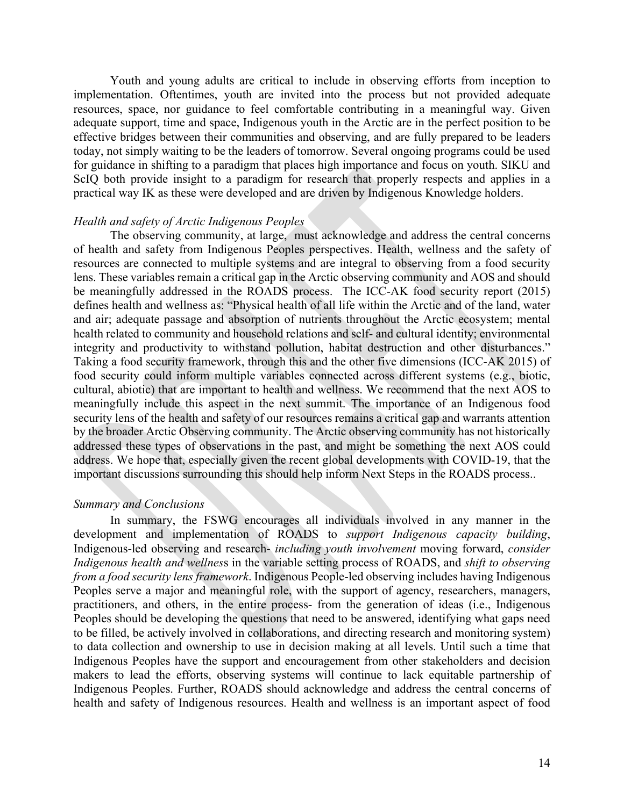Youth and young adults are critical to include in observing efforts from inception to implementation. Oftentimes, youth are invited into the process but not provided adequate resources, space, nor guidance to feel comfortable contributing in a meaningful way. Given adequate support, time and space, Indigenous youth in the Arctic are in the perfect position to be effective bridges between their communities and observing, and are fully prepared to be leaders today, not simply waiting to be the leaders of tomorrow. Several ongoing programs could be used for guidance in shifting to a paradigm that places high importance and focus on youth. SIKU and ScIQ both provide insight to a paradigm for research that properly respects and applies in a practical way IK as these were developed and are driven by Indigenous Knowledge holders.

#### *Health and safety of Arctic Indigenous Peoples*

The observing community, at large, must acknowledge and address the central concerns of health and safety from Indigenous Peoples perspectives. Health, wellness and the safety of resources are connected to multiple systems and are integral to observing from a food security lens. These variables remain a critical gap in the Arctic observing community and AOS and should be meaningfully addressed in the ROADS process. The ICC-AK food security report (2015) defines health and wellness as: "Physical health of all life within the Arctic and of the land, water and air; adequate passage and absorption of nutrients throughout the Arctic ecosystem; mental health related to community and household relations and self- and cultural identity; environmental integrity and productivity to withstand pollution, habitat destruction and other disturbances." Taking a food security framework, through this and the other five dimensions (ICC-AK 2015) of food security could inform multiple variables connected across different systems (e.g., biotic, cultural, abiotic) that are important to health and wellness. We recommend that the next AOS to meaningfully include this aspect in the next summit. The importance of an Indigenous food security lens of the health and safety of our resources remains a critical gap and warrants attention by the broader Arctic Observing community. The Arctic observing community has not historically addressed these types of observations in the past, and might be something the next AOS could address. We hope that, especially given the recent global developments with COVID-19, that the important discussions surrounding this should help inform Next Steps in the ROADS process..

#### *Summary and Conclusions*

In summary, the FSWG encourages all individuals involved in any manner in the development and implementation of ROADS to *support Indigenous capacity building*, Indigenous-led observing and research- *including youth involvement* moving forward, *consider Indigenous health and wellnes*s in the variable setting process of ROADS, and *shift to observing from a food security lens framework*. Indigenous People-led observing includes having Indigenous Peoples serve a major and meaningful role, with the support of agency, researchers, managers, practitioners, and others, in the entire process- from the generation of ideas (i.e., Indigenous Peoples should be developing the questions that need to be answered, identifying what gaps need to be filled, be actively involved in collaborations, and directing research and monitoring system) to data collection and ownership to use in decision making at all levels. Until such a time that Indigenous Peoples have the support and encouragement from other stakeholders and decision makers to lead the efforts, observing systems will continue to lack equitable partnership of Indigenous Peoples. Further, ROADS should acknowledge and address the central concerns of health and safety of Indigenous resources. Health and wellness is an important aspect of food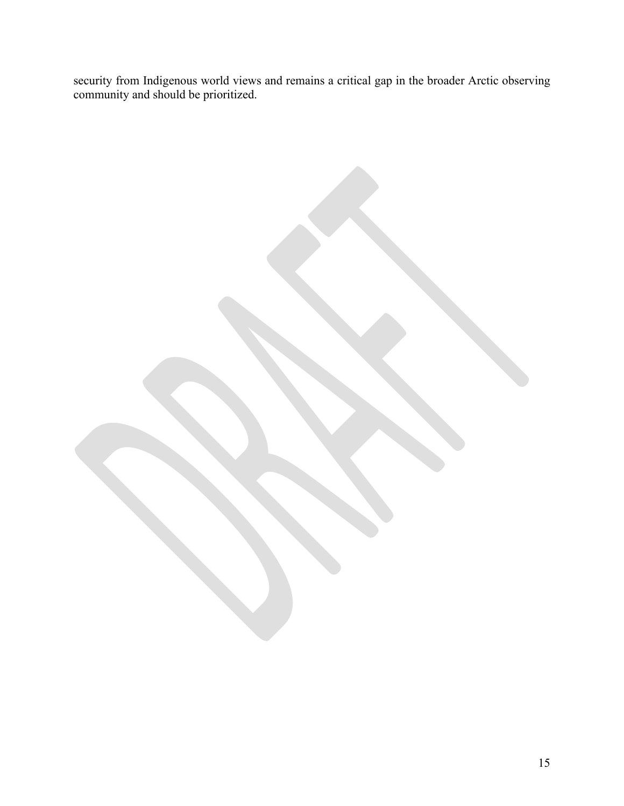security from Indigenous world views and remains a critical gap in the broader Arctic observing community and should be prioritized.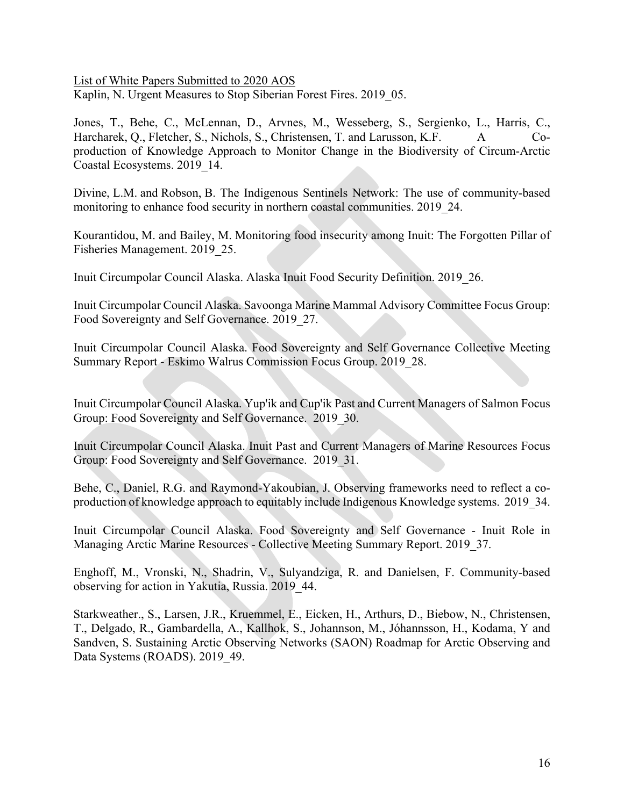List of White Papers Submitted to 2020 AOS Kaplin, N. Urgent Measures to Stop Siberian Forest Fires. 2019 05.

Jones, T., Behe, C., McLennan, D., Arvnes, M., Wesseberg, S., Sergienko, L., Harris, C., Harcharek, Q., Fletcher, S., Nichols, S., Christensen, T. and Larusson, K.F. A Coproduction of Knowledge Approach to Monitor Change in the Biodiversity of Circum-Arctic Coastal Ecosystems. 2019\_14.

Divine, L.M. and Robson, B. The Indigenous Sentinels Network: The use of community-based monitoring to enhance food security in northern coastal communities. 2019\_24.

Kourantidou, M. and Bailey, M. Monitoring food insecurity among Inuit: The Forgotten Pillar of Fisheries Management. 2019\_25.

Inuit Circumpolar Council Alaska. Alaska Inuit Food Security Definition. 2019\_26.

Inuit Circumpolar Council Alaska. Savoonga Marine Mammal Advisory Committee Focus Group: Food Sovereignty and Self Governance. 2019\_27.

Inuit Circumpolar Council Alaska. Food Sovereignty and Self Governance Collective Meeting Summary Report - Eskimo Walrus Commission Focus Group. 2019\_28.

Inuit Circumpolar Council Alaska. Yup'ik and Cup'ik Past and Current Managers of Salmon Focus Group: Food Sovereignty and Self Governance. 2019 30.

Inuit Circumpolar Council Alaska. Inuit Past and Current Managers of Marine Resources Focus Group: Food Sovereignty and Self Governance. 2019\_31.

Behe, C., Daniel, R.G. and Raymond-Yakoubian, J. Observing frameworks need to reflect a coproduction of knowledge approach to equitably include Indigenous Knowledge systems. 2019\_34.

Inuit Circumpolar Council Alaska. Food Sovereignty and Self Governance - Inuit Role in Managing Arctic Marine Resources - Collective Meeting Summary Report. 2019\_37.

Enghoff, M., Vronski, N., Shadrin, V., Sulyandziga, R. and Danielsen, F. Community-based observing for action in Yakutia, Russia. 2019\_44.

Starkweather., S., Larsen, J.R., Kruemmel, E., Eicken, H., Arthurs, D., Biebow, N., Christensen, T., Delgado, R., Gambardella, A., Kallhok, S., Johannson, M., Jóhannsson, H., Kodama, Y and Sandven, S. Sustaining Arctic Observing Networks (SAON) Roadmap for Arctic Observing and Data Systems (ROADS). 2019 49.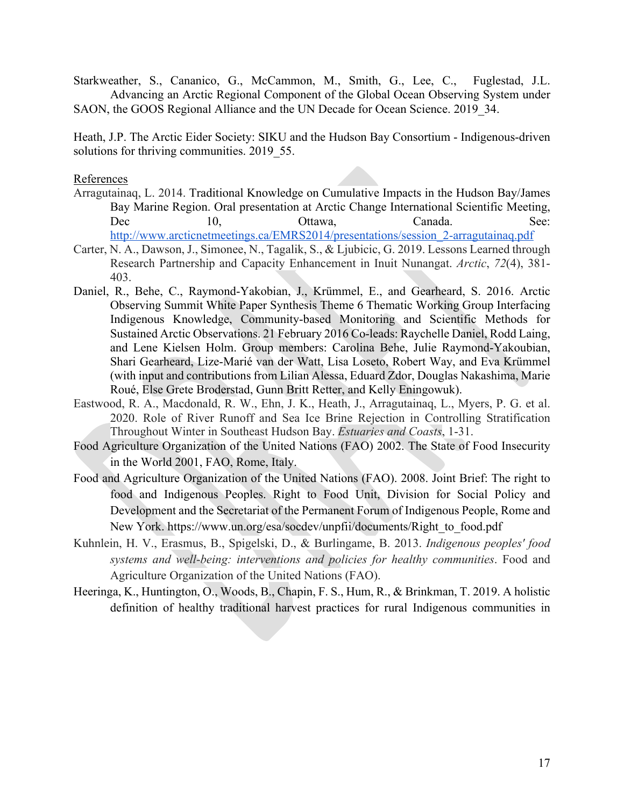Starkweather, S., Cananico, G., McCammon, M., Smith, G., Lee, C., Fuglestad, J.L. Advancing an Arctic Regional Component of the Global Ocean Observing System under SAON, the GOOS Regional Alliance and the UN Decade for Ocean Science. 2019 34.

Heath, J.P. The Arctic Eider Society: SIKU and the Hudson Bay Consortium - Indigenous-driven solutions for thriving communities. 2019 55.

### References

- Arragutainaq, L. 2014. Traditional Knowledge on Cumulative Impacts in the Hudson Bay/James Bay Marine Region. Oral presentation at Arctic Change International Scientific Meeting, Dec 10, Ottawa, Canada. See: http://www.arcticnetmeetings.ca/EMRS2014/presentations/session\_2-arragutainaq.pdf
- Carter, N. A., Dawson, J., Simonee, N., Tagalik, S., & Ljubicic, G. 2019. Lessons Learned through Research Partnership and Capacity Enhancement in Inuit Nunangat. *Arctic*, *72*(4), 381- 403.
- Daniel, R., Behe, C., Raymond‐Yakobian, J., Krümmel, E., and Gearheard, S. 2016. Arctic Observing Summit White Paper Synthesis Theme 6 Thematic Working Group Interfacing Indigenous Knowledge, Community‐based Monitoring and Scientific Methods for Sustained Arctic Observations. 21 February 2016 Co‐leads: Raychelle Daniel, Rodd Laing, and Lene Kielsen Holm. Group members: Carolina Behe, Julie Raymond‐Yakoubian, Shari Gearheard, Lize‐Marié van der Watt, Lisa Loseto, Robert Way, and Eva Krümmel (with input and contributions from Lilian Alessa, Eduard Zdor, Douglas Nakashima, Marie Roué, Else Grete Broderstad, Gunn Britt Retter, and Kelly Eningowuk).
- Eastwood, R. A., Macdonald, R. W., Ehn, J. K., Heath, J., Arragutainaq, L., Myers, P. G. et al. 2020. Role of River Runoff and Sea Ice Brine Rejection in Controlling Stratification Throughout Winter in Southeast Hudson Bay. *Estuaries and Coasts*, 1-31.
- Food Agriculture Organization of the United Nations (FAO) 2002. The State of Food Insecurity in the World 2001, FAO, Rome, Italy.
- Food and Agriculture Organization of the United Nations (FAO). 2008. Joint Brief: The right to food and Indigenous Peoples. Right to Food Unit, Division for Social Policy and Development and the Secretariat of the Permanent Forum of Indigenous People, Rome and New York. https://www.un.org/esa/socdev/unpfii/documents/Right\_to\_food.pdf
- Kuhnlein, H. V., Erasmus, B., Spigelski, D., & Burlingame, B. 2013. *Indigenous peoples' food systems and well-being: interventions and policies for healthy communities*. Food and Agriculture Organization of the United Nations (FAO).
- Heeringa, K., Huntington, O., Woods, B., Chapin, F. S., Hum, R., & Brinkman, T. 2019. A holistic definition of healthy traditional harvest practices for rural Indigenous communities in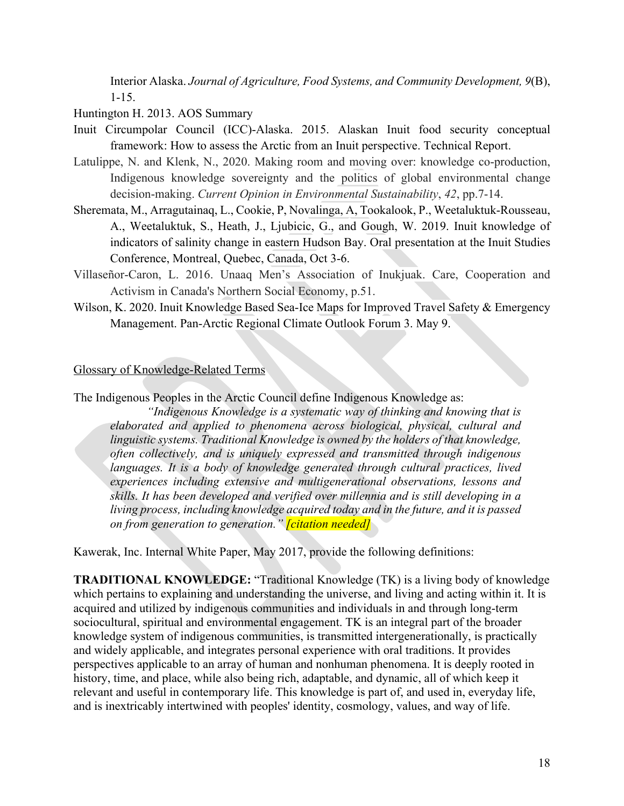Interior Alaska. *Journal of Agriculture, Food Systems, and Community Development, 9*(B), 1-15.

Huntington H. 2013. AOS Summary

- Inuit Circumpolar Council (ICC)-Alaska. 2015. Alaskan Inuit food security conceptual framework: How to assess the Arctic from an Inuit perspective. Technical Report.
- Latulippe, N. and Klenk, N., 2020. Making room and moving over: knowledge co-production, Indigenous knowledge sovereignty and the politics of global environmental change decision-making. *Current Opinion in Environmental Sustainability*, *42*, pp.7-14.
- Sheremata, M., Arragutainaq, L., Cookie, P, Novalinga, A, Tookalook, P., Weetaluktuk-Rousseau, A., Weetaluktuk, S., Heath, J., Ljubicic, G., and Gough, W. 2019. Inuit knowledge of indicators of salinity change in eastern Hudson Bay. Oral presentation at the Inuit Studies Conference, Montreal, Quebec, Canada, Oct 3-6.
- Villaseñor-Caron, L. 2016. Unaaq Men's Association of Inukjuak. Care, Cooperation and Activism in Canada's Northern Social Economy, p.51.
- Wilson, K. 2020. Inuit Knowledge Based Sea-Ice Maps for Improved Travel Safety & Emergency Management. Pan-Arctic Regional Climate Outlook Forum 3. May 9.

## Glossary of Knowledge-Related Terms

The Indigenous Peoples in the Arctic Council define Indigenous Knowledge as:

*"Indigenous Knowledge is a systematic way of thinking and knowing that is elaborated and applied to phenomena across biological, physical, cultural and linguistic systems. Traditional Knowledge is owned by the holders of that knowledge, often collectively, and is uniquely expressed and transmitted through indigenous languages. It is a body of knowledge generated through cultural practices, lived experiences including extensive and multigenerational observations, lessons and skills. It has been developed and verified over millennia and is still developing in a living process, including knowledge acquired today and in the future, and it is passed on from generation to generation." [citation needed]*

Kawerak, Inc. Internal White Paper, May 2017, provide the following definitions:

**TRADITIONAL KNOWLEDGE:** "Traditional Knowledge (TK) is a living body of knowledge which pertains to explaining and understanding the universe, and living and acting within it. It is acquired and utilized by indigenous communities and individuals in and through long-term sociocultural, spiritual and environmental engagement. TK is an integral part of the broader knowledge system of indigenous communities, is transmitted intergenerationally, is practically and widely applicable, and integrates personal experience with oral traditions. It provides perspectives applicable to an array of human and nonhuman phenomena. It is deeply rooted in history, time, and place, while also being rich, adaptable, and dynamic, all of which keep it relevant and useful in contemporary life. This knowledge is part of, and used in, everyday life, and is inextricably intertwined with peoples' identity, cosmology, values, and way of life.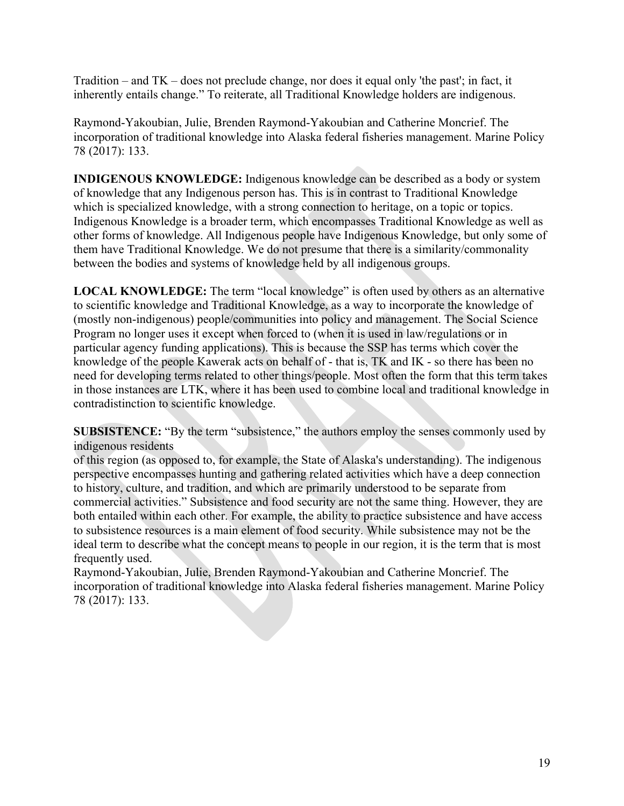Tradition – and TK – does not preclude change, nor does it equal only 'the past'; in fact, it inherently entails change." To reiterate, all Traditional Knowledge holders are indigenous.

Raymond-Yakoubian, Julie, Brenden Raymond-Yakoubian and Catherine Moncrief. The incorporation of traditional knowledge into Alaska federal fisheries management. Marine Policy 78 (2017): 133.

**INDIGENOUS KNOWLEDGE:** Indigenous knowledge can be described as a body or system of knowledge that any Indigenous person has. This is in contrast to Traditional Knowledge which is specialized knowledge, with a strong connection to heritage, on a topic or topics. Indigenous Knowledge is a broader term, which encompasses Traditional Knowledge as well as other forms of knowledge. All Indigenous people have Indigenous Knowledge, but only some of them have Traditional Knowledge. We do not presume that there is a similarity/commonality between the bodies and systems of knowledge held by all indigenous groups.

**LOCAL KNOWLEDGE:** The term "local knowledge" is often used by others as an alternative to scientific knowledge and Traditional Knowledge, as a way to incorporate the knowledge of (mostly non-indigenous) people/communities into policy and management. The Social Science Program no longer uses it except when forced to (when it is used in law/regulations or in particular agency funding applications). This is because the SSP has terms which cover the knowledge of the people Kawerak acts on behalf of - that is, TK and IK - so there has been no need for developing terms related to other things/people. Most often the form that this term takes in those instances are LTK, where it has been used to combine local and traditional knowledge in contradistinction to scientific knowledge.

**SUBSISTENCE:** "By the term "subsistence," the authors employ the senses commonly used by indigenous residents

of this region (as opposed to, for example, the State of Alaska's understanding). The indigenous perspective encompasses hunting and gathering related activities which have a deep connection to history, culture, and tradition, and which are primarily understood to be separate from commercial activities." Subsistence and food security are not the same thing. However, they are both entailed within each other. For example, the ability to practice subsistence and have access to subsistence resources is a main element of food security. While subsistence may not be the ideal term to describe what the concept means to people in our region, it is the term that is most frequently used.

Raymond-Yakoubian, Julie, Brenden Raymond-Yakoubian and Catherine Moncrief. The incorporation of traditional knowledge into Alaska federal fisheries management. Marine Policy 78 (2017): 133.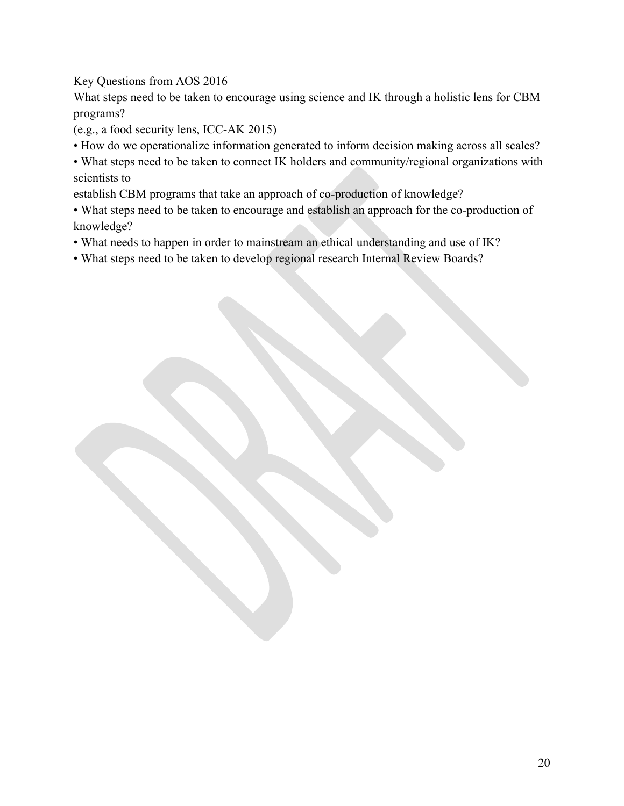# Key Questions from AOS 2016

What steps need to be taken to encourage using science and IK through a holistic lens for CBM programs?

(e.g., a food security lens, ICC‐AK 2015)

- How do we operationalize information generated to inform decision making across all scales?
- What steps need to be taken to connect IK holders and community/regional organizations with scientists to

establish CBM programs that take an approach of co‐production of knowledge?

- What steps need to be taken to encourage and establish an approach for the co-production of knowledge?
- What needs to happen in order to mainstream an ethical understanding and use of IK?
- What steps need to be taken to develop regional research Internal Review Boards?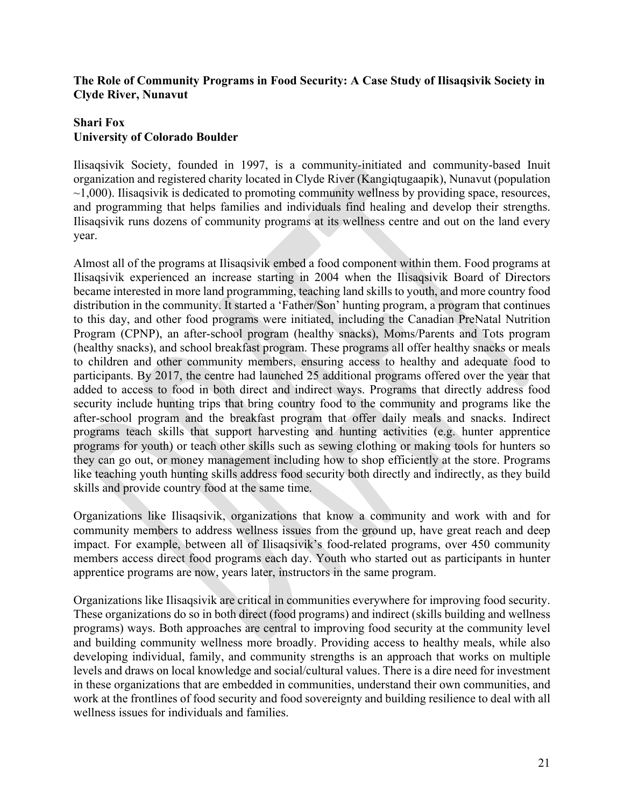## **The Role of Community Programs in Food Security: A Case Study of Ilisaqsivik Society in Clyde River, Nunavut**

# **Shari Fox University of Colorado Boulder**

Ilisaqsivik Society, founded in 1997, is a community-initiated and community-based Inuit organization and registered charity located in Clyde River (Kangiqtugaapik), Nunavut (population  $\sim$ 1,000). Ilisaqsivik is dedicated to promoting community wellness by providing space, resources, and programming that helps families and individuals find healing and develop their strengths. Ilisaqsivik runs dozens of community programs at its wellness centre and out on the land every year.

Almost all of the programs at Ilisaqsivik embed a food component within them. Food programs at Ilisaqsivik experienced an increase starting in 2004 when the Ilisaqsivik Board of Directors became interested in more land programming, teaching land skills to youth, and more country food distribution in the community. It started a 'Father/Son' hunting program, a program that continues to this day, and other food programs were initiated, including the Canadian PreNatal Nutrition Program (CPNP), an after-school program (healthy snacks), Moms/Parents and Tots program (healthy snacks), and school breakfast program. These programs all offer healthy snacks or meals to children and other community members, ensuring access to healthy and adequate food to participants. By 2017, the centre had launched 25 additional programs offered over the year that added to access to food in both direct and indirect ways. Programs that directly address food security include hunting trips that bring country food to the community and programs like the after-school program and the breakfast program that offer daily meals and snacks. Indirect programs teach skills that support harvesting and hunting activities (e.g. hunter apprentice programs for youth) or teach other skills such as sewing clothing or making tools for hunters so they can go out, or money management including how to shop efficiently at the store. Programs like teaching youth hunting skills address food security both directly and indirectly, as they build skills and provide country food at the same time.

Organizations like Ilisaqsivik, organizations that know a community and work with and for community members to address wellness issues from the ground up, have great reach and deep impact. For example, between all of Ilisaqsivik's food-related programs, over 450 community members access direct food programs each day. Youth who started out as participants in hunter apprentice programs are now, years later, instructors in the same program.

Organizations like Ilisaqsivik are critical in communities everywhere for improving food security. These organizations do so in both direct (food programs) and indirect (skills building and wellness programs) ways. Both approaches are central to improving food security at the community level and building community wellness more broadly. Providing access to healthy meals, while also developing individual, family, and community strengths is an approach that works on multiple levels and draws on local knowledge and social/cultural values. There is a dire need for investment in these organizations that are embedded in communities, understand their own communities, and work at the frontlines of food security and food sovereignty and building resilience to deal with all wellness issues for individuals and families.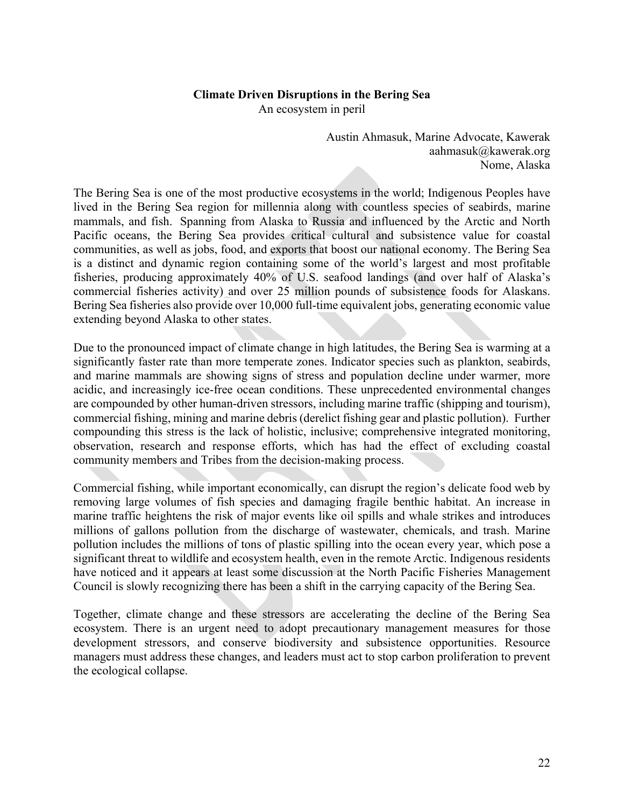### **Climate Driven Disruptions in the Bering Sea**

An ecosystem in peril

Austin Ahmasuk, Marine Advocate, Kawerak aahmasuk@kawerak.org Nome, Alaska

The Bering Sea is one of the most productive ecosystems in the world; Indigenous Peoples have lived in the Bering Sea region for millennia along with countless species of seabirds, marine mammals, and fish. Spanning from Alaska to Russia and influenced by the Arctic and North Pacific oceans, the Bering Sea provides critical cultural and subsistence value for coastal communities, as well as jobs, food, and exports that boost our national economy. The Bering Sea is a distinct and dynamic region containing some of the world's largest and most profitable fisheries, producing approximately 40% of U.S. seafood landings (and over half of Alaska's commercial fisheries activity) and over 25 million pounds of subsistence foods for Alaskans. Bering Sea fisheries also provide over 10,000 full-time equivalent jobs, generating economic value extending beyond Alaska to other states.

Due to the pronounced impact of climate change in high latitudes, the Bering Sea is warming at a significantly faster rate than more temperate zones. Indicator species such as plankton, seabirds, and marine mammals are showing signs of stress and population decline under warmer, more acidic, and increasingly ice-free ocean conditions. These unprecedented environmental changes are compounded by other human-driven stressors, including marine traffic (shipping and tourism), commercial fishing, mining and marine debris (derelict fishing gear and plastic pollution). Further compounding this stress is the lack of holistic, inclusive; comprehensive integrated monitoring, observation, research and response efforts, which has had the effect of excluding coastal community members and Tribes from the decision-making process.

Commercial fishing, while important economically, can disrupt the region's delicate food web by removing large volumes of fish species and damaging fragile benthic habitat. An increase in marine traffic heightens the risk of major events like oil spills and whale strikes and introduces millions of gallons pollution from the discharge of wastewater, chemicals, and trash. Marine pollution includes the millions of tons of plastic spilling into the ocean every year, which pose a significant threat to wildlife and ecosystem health, even in the remote Arctic. Indigenous residents have noticed and it appears at least some discussion at the North Pacific Fisheries Management Council is slowly recognizing there has been a shift in the carrying capacity of the Bering Sea.

Together, climate change and these stressors are accelerating the decline of the Bering Sea ecosystem. There is an urgent need to adopt precautionary management measures for those development stressors, and conserve biodiversity and subsistence opportunities. Resource managers must address these changes, and leaders must act to stop carbon proliferation to prevent the ecological collapse.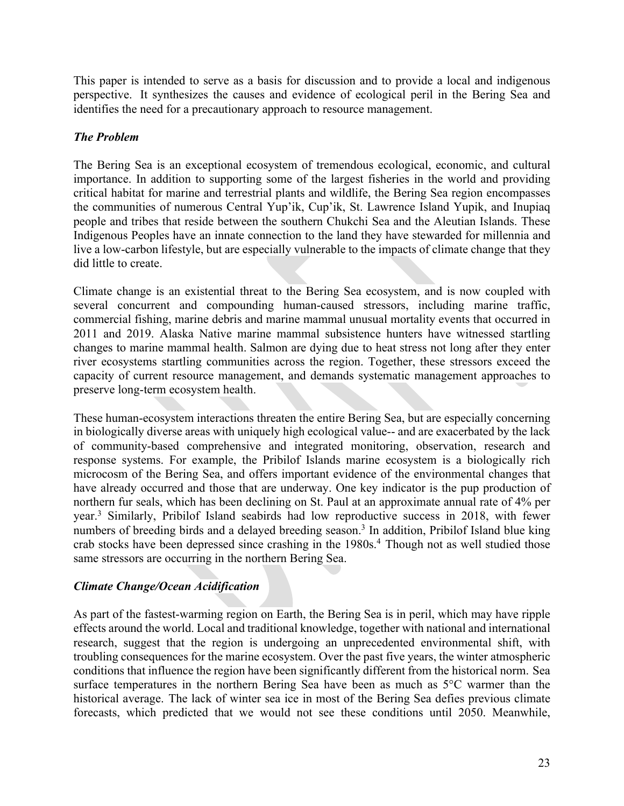This paper is intended to serve as a basis for discussion and to provide a local and indigenous perspective. It synthesizes the causes and evidence of ecological peril in the Bering Sea and identifies the need for a precautionary approach to resource management.

# *The Problem*

The Bering Sea is an exceptional ecosystem of tremendous ecological, economic, and cultural importance. In addition to supporting some of the largest fisheries in the world and providing critical habitat for marine and terrestrial plants and wildlife, the Bering Sea region encompasses the communities of numerous Central Yup'ik, Cup'ik, St. Lawrence Island Yupik, and Inupiaq people and tribes that reside between the southern Chukchi Sea and the Aleutian Islands. These Indigenous Peoples have an innate connection to the land they have stewarded for millennia and live a low-carbon lifestyle, but are especially vulnerable to the impacts of climate change that they did little to create.

Climate change is an existential threat to the Bering Sea ecosystem, and is now coupled with several concurrent and compounding human-caused stressors, including marine traffic, commercial fishing, marine debris and marine mammal unusual mortality events that occurred in 2011 and 2019. Alaska Native marine mammal subsistence hunters have witnessed startling changes to marine mammal health. Salmon are dying due to heat stress not long after they enter river ecosystems startling communities across the region. Together, these stressors exceed the capacity of current resource management, and demands systematic management approaches to preserve long-term ecosystem health.

These human-ecosystem interactions threaten the entire Bering Sea, but are especially concerning in biologically diverse areas with uniquely high ecological value-- and are exacerbated by the lack of community-based comprehensive and integrated monitoring, observation, research and response systems. For example, the Pribilof Islands marine ecosystem is a biologically rich microcosm of the Bering Sea, and offers important evidence of the environmental changes that have already occurred and those that are underway. One key indicator is the pup production of northern fur seals, which has been declining on St. Paul at an approximate annual rate of 4% per year.3 Similarly, Pribilof Island seabirds had low reproductive success in 2018, with fewer numbers of breeding birds and a delayed breeding season.<sup>3</sup> In addition, Pribilof Island blue king crab stocks have been depressed since crashing in the 1980s.<sup>4</sup> Though not as well studied those same stressors are occurring in the northern Bering Sea.

# *Climate Change/Ocean Acidification*

As part of the fastest-warming region on Earth, the Bering Sea is in peril, which may have ripple effects around the world. Local and traditional knowledge, together with national and international research, suggest that the region is undergoing an unprecedented environmental shift, with troubling consequences for the marine ecosystem. Over the past five years, the winter atmospheric conditions that influence the region have been significantly different from the historical norm. Sea surface temperatures in the northern Bering Sea have been as much as 5°C warmer than the historical average. The lack of winter sea ice in most of the Bering Sea defies previous climate forecasts, which predicted that we would not see these conditions until 2050. Meanwhile,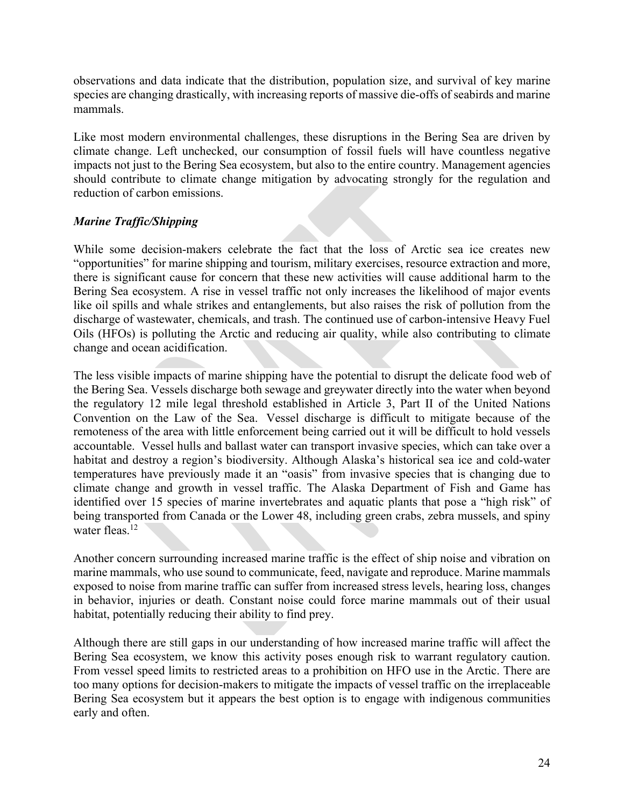observations and data indicate that the distribution, population size, and survival of key marine species are changing drastically, with increasing reports of massive die-offs of seabirds and marine mammals.

Like most modern environmental challenges, these disruptions in the Bering Sea are driven by climate change. Left unchecked, our consumption of fossil fuels will have countless negative impacts not just to the Bering Sea ecosystem, but also to the entire country. Management agencies should contribute to climate change mitigation by advocating strongly for the regulation and reduction of carbon emissions.

# *Marine Traffic/Shipping*

While some decision-makers celebrate the fact that the loss of Arctic sea ice creates new "opportunities" for marine shipping and tourism, military exercises, resource extraction and more, there is significant cause for concern that these new activities will cause additional harm to the Bering Sea ecosystem. A rise in vessel traffic not only increases the likelihood of major events like oil spills and whale strikes and entanglements, but also raises the risk of pollution from the discharge of wastewater, chemicals, and trash. The continued use of carbon-intensive Heavy Fuel Oils (HFOs) is polluting the Arctic and reducing air quality, while also contributing to climate change and ocean acidification.

The less visible impacts of marine shipping have the potential to disrupt the delicate food web of the Bering Sea. Vessels discharge both sewage and greywater directly into the water when beyond the regulatory 12 mile legal threshold established in Article 3, Part II of the United Nations Convention on the Law of the Sea. Vessel discharge is difficult to mitigate because of the remoteness of the area with little enforcement being carried out it will be difficult to hold vessels accountable. Vessel hulls and ballast water can transport invasive species, which can take over a habitat and destroy a region's biodiversity. Although Alaska's historical sea ice and cold-water temperatures have previously made it an "oasis" from invasive species that is changing due to climate change and growth in vessel traffic. The Alaska Department of Fish and Game has identified over 15 species of marine invertebrates and aquatic plants that pose a "high risk" of being transported from Canada or the Lower 48, including green crabs, zebra mussels, and spiny water fleas.<sup>12</sup>

Another concern surrounding increased marine traffic is the effect of ship noise and vibration on marine mammals, who use sound to communicate, feed, navigate and reproduce. Marine mammals exposed to noise from marine traffic can suffer from increased stress levels, hearing loss, changes in behavior, injuries or death. Constant noise could force marine mammals out of their usual habitat, potentially reducing their ability to find prey.

Although there are still gaps in our understanding of how increased marine traffic will affect the Bering Sea ecosystem, we know this activity poses enough risk to warrant regulatory caution. From vessel speed limits to restricted areas to a prohibition on HFO use in the Arctic. There are too many options for decision-makers to mitigate the impacts of vessel traffic on the irreplaceable Bering Sea ecosystem but it appears the best option is to engage with indigenous communities early and often.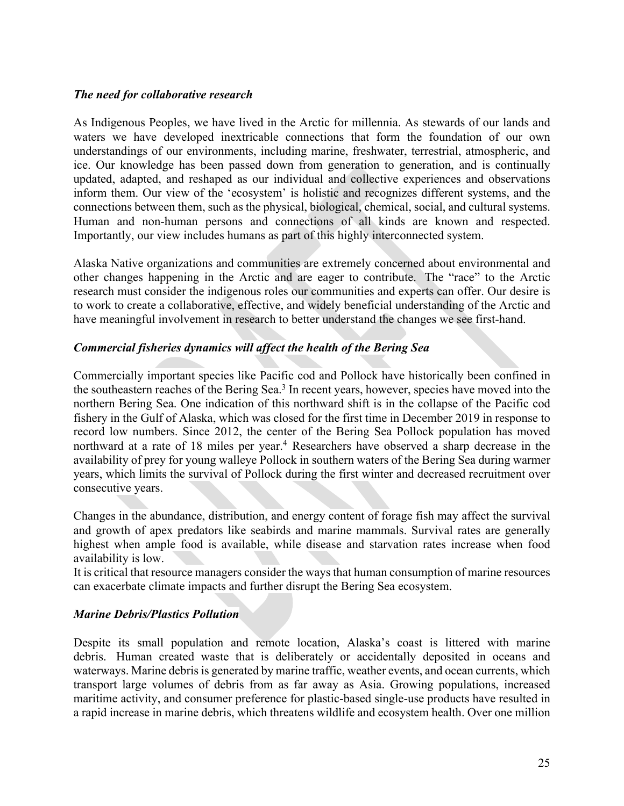## *The need for collaborative research*

As Indigenous Peoples, we have lived in the Arctic for millennia. As stewards of our lands and waters we have developed inextricable connections that form the foundation of our own understandings of our environments, including marine, freshwater, terrestrial, atmospheric, and ice. Our knowledge has been passed down from generation to generation, and is continually updated, adapted, and reshaped as our individual and collective experiences and observations inform them. Our view of the 'ecosystem' is holistic and recognizes different systems, and the connections between them, such as the physical, biological, chemical, social, and cultural systems. Human and non-human persons and connections of all kinds are known and respected. Importantly, our view includes humans as part of this highly interconnected system.

Alaska Native organizations and communities are extremely concerned about environmental and other changes happening in the Arctic and are eager to contribute. The "race" to the Arctic research must consider the indigenous roles our communities and experts can offer. Our desire is to work to create a collaborative, effective, and widely beneficial understanding of the Arctic and have meaningful involvement in research to better understand the changes we see first-hand.

## *Commercial fisheries dynamics will affect the health of the Bering Sea*

Commercially important species like Pacific cod and Pollock have historically been confined in the southeastern reaches of the Bering Sea.<sup>3</sup> In recent years, however, species have moved into the northern Bering Sea. One indication of this northward shift is in the collapse of the Pacific cod fishery in the Gulf of Alaska, which was closed for the first time in December 2019 in response to record low numbers. Since 2012, the center of the Bering Sea Pollock population has moved northward at a rate of 18 miles per year.<sup>4</sup> Researchers have observed a sharp decrease in the availability of prey for young walleye Pollock in southern waters of the Bering Sea during warmer years, which limits the survival of Pollock during the first winter and decreased recruitment over consecutive years.

Changes in the abundance, distribution, and energy content of forage fish may affect the survival and growth of apex predators like seabirds and marine mammals. Survival rates are generally highest when ample food is available, while disease and starvation rates increase when food availability is low.

It is critical that resource managers consider the ways that human consumption of marine resources can exacerbate climate impacts and further disrupt the Bering Sea ecosystem.

### *Marine Debris/Plastics Pollution*

Despite its small population and remote location, Alaska's coast is littered with marine debris. Human created waste that is deliberately or accidentally deposited in oceans and waterways. Marine debris is generated by marine traffic, weather events, and ocean currents, which transport large volumes of debris from as far away as Asia. Growing populations, increased maritime activity, and consumer preference for plastic-based single-use products have resulted in a rapid increase in marine debris, which threatens wildlife and ecosystem health. Over one million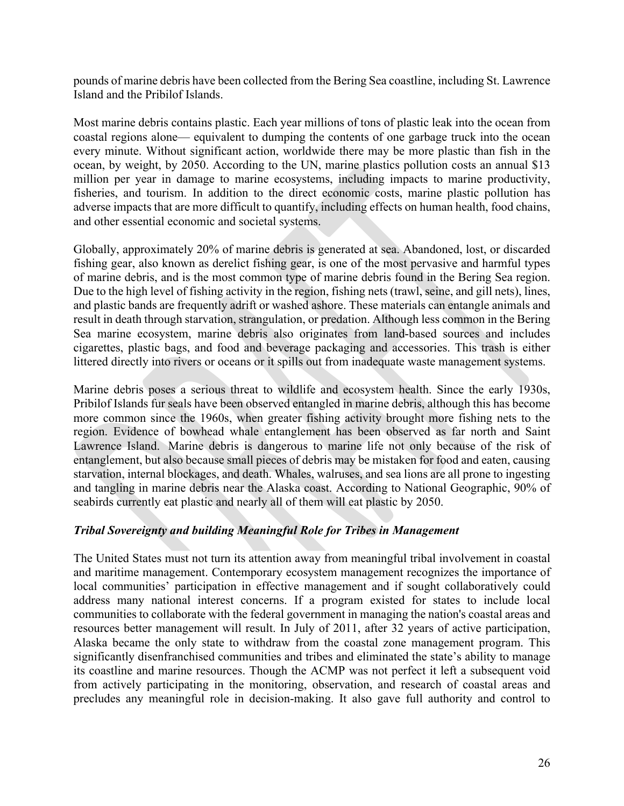pounds of marine debris have been collected from the Bering Sea coastline, including St. Lawrence Island and the Pribilof Islands.

Most marine debris contains plastic. Each year millions of tons of plastic leak into the ocean from coastal regions alone— equivalent to dumping the contents of one garbage truck into the ocean every minute. Without significant action, worldwide there may be more plastic than fish in the ocean, by weight, by 2050. According to the UN, marine plastics pollution costs an annual \$13 million per year in damage to marine ecosystems, including impacts to marine productivity, fisheries, and tourism. In addition to the direct economic costs, marine plastic pollution has adverse impacts that are more difficult to quantify, including effects on human health, food chains, and other essential economic and societal systems.

Globally, approximately 20% of marine debris is generated at sea. Abandoned, lost, or discarded fishing gear, also known as derelict fishing gear, is one of the most pervasive and harmful types of marine debris, and is the most common type of marine debris found in the Bering Sea region. Due to the high level of fishing activity in the region, fishing nets (trawl, seine, and gill nets), lines, and plastic bands are frequently adrift or washed ashore. These materials can entangle animals and result in death through starvation, strangulation, or predation. Although less common in the Bering Sea marine ecosystem, marine debris also originates from land-based sources and includes cigarettes, plastic bags, and food and beverage packaging and accessories. This trash is either littered directly into rivers or oceans or it spills out from inadequate waste management systems.

Marine debris poses a serious threat to wildlife and ecosystem health. Since the early 1930s, Pribilof Islands fur seals have been observed entangled in marine debris, although this has become more common since the 1960s, when greater fishing activity brought more fishing nets to the region. Evidence of bowhead whale entanglement has been observed as far north and Saint Lawrence Island. Marine debris is dangerous to marine life not only because of the risk of entanglement, but also because small pieces of debris may be mistaken for food and eaten, causing starvation, internal blockages, and death. Whales, walruses, and sea lions are all prone to ingesting and tangling in marine debris near the Alaska coast. According to National Geographic, 90% of seabirds currently eat plastic and nearly all of them will eat plastic by 2050.

## *Tribal Sovereignty and building Meaningful Role for Tribes in Management*

The United States must not turn its attention away from meaningful tribal involvement in coastal and maritime management. Contemporary ecosystem management recognizes the importance of local communities' participation in effective management and if sought collaboratively could address many national interest concerns. If a program existed for states to include local communities to collaborate with the federal government in managing the nation's coastal areas and resources better management will result. In July of 2011, after 32 years of active participation, Alaska became the only state to withdraw from the coastal zone management program. This significantly disenfranchised communities and tribes and eliminated the state's ability to manage its coastline and marine resources. Though the ACMP was not perfect it left a subsequent void from actively participating in the monitoring, observation, and research of coastal areas and precludes any meaningful role in decision-making. It also gave full authority and control to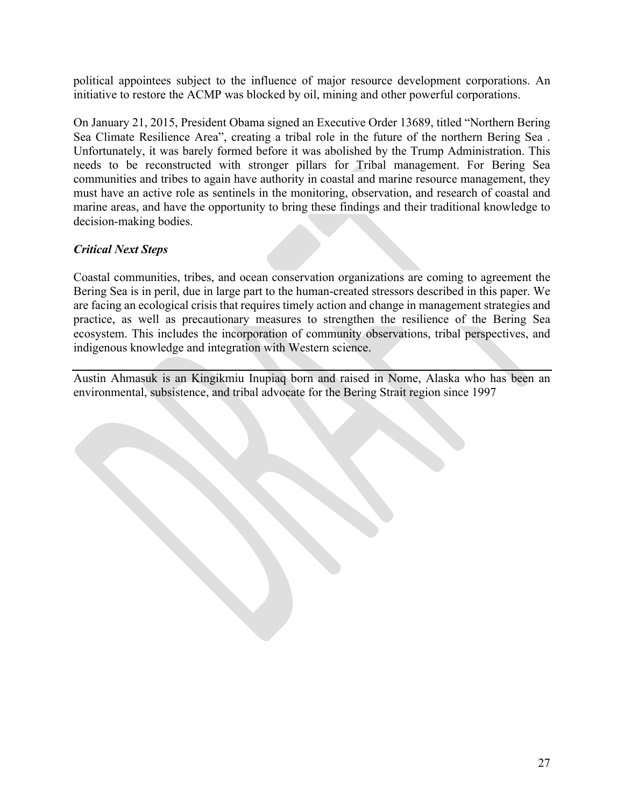political appointees subject to the influence of major resource development corporations. An initiative to restore the ACMP was blocked by oil, mining and other powerful corporations.

On January 21, 2015, President Obama signed an Executive Order 13689, titled "Northern Bering Sea Climate Resilience Area", creating a tribal role in the future of the northern Bering Sea . Unfortunately, it was barely formed before it was abolished by the Trump Administration. This needs to be reconstructed with stronger pillars for Tribal management. For Bering Sea communities and tribes to again have authority in coastal and marine resource management, they must have an active role as sentinels in the monitoring, observation, and research of coastal and marine areas, and have the opportunity to bring these findings and their traditional knowledge to decision-making bodies.

# *Critical Next Steps*

Coastal communities, tribes, and ocean conservation organizations are coming to agreement the Bering Sea is in peril, due in large part to the human-created stressors described in this paper. We are facing an ecological crisis that requires timely action and change in management strategies and practice, as well as precautionary measures to strengthen the resilience of the Bering Sea ecosystem. This includes the incorporation of community observations, tribal perspectives, and indigenous knowledge and integration with Western science.

Austin Ahmasuk is an Kingikmiu Inupiaq born and raised in Nome, Alaska who has been an environmental, subsistence, and tribal advocate for the Bering Strait region since 1997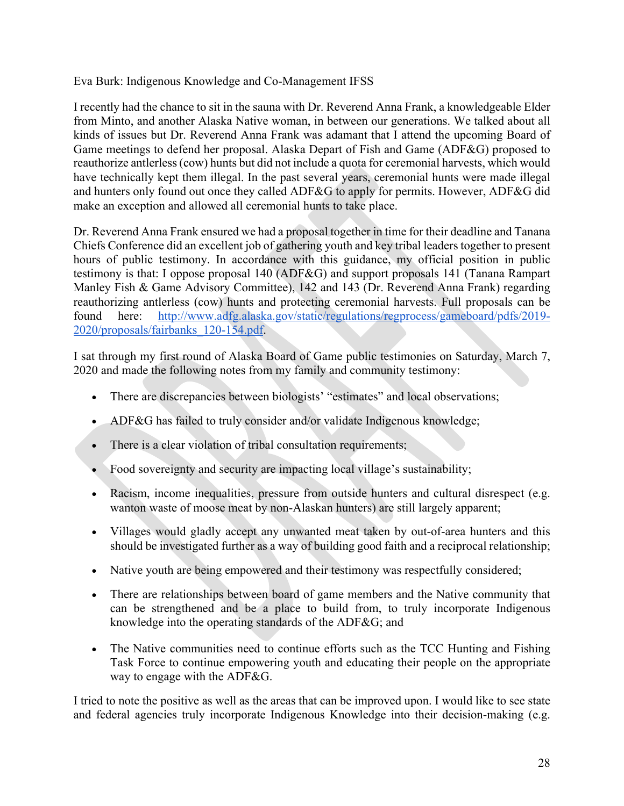Eva Burk: Indigenous Knowledge and Co-Management IFSS

I recently had the chance to sit in the sauna with Dr. Reverend Anna Frank, a knowledgeable Elder from Minto, and another Alaska Native woman, in between our generations. We talked about all kinds of issues but Dr. Reverend Anna Frank was adamant that I attend the upcoming Board of Game meetings to defend her proposal. Alaska Depart of Fish and Game (ADF&G) proposed to reauthorize antlerless (cow) hunts but did not include a quota for ceremonial harvests, which would have technically kept them illegal. In the past several years, ceremonial hunts were made illegal and hunters only found out once they called ADF&G to apply for permits. However, ADF&G did make an exception and allowed all ceremonial hunts to take place.

Dr. Reverend Anna Frank ensured we had a proposal together in time for their deadline and Tanana Chiefs Conference did an excellent job of gathering youth and key tribal leaders together to present hours of public testimony. In accordance with this guidance, my official position in public testimony is that: I oppose proposal 140 (ADF&G) and support proposals 141 (Tanana Rampart Manley Fish & Game Advisory Committee), 142 and 143 (Dr. Reverend Anna Frank) regarding reauthorizing antlerless (cow) hunts and protecting ceremonial harvests. Full proposals can be found here: http://www.adfg.alaska.gov/static/regulations/regprocess/gameboard/pdfs/2019- 2020/proposals/fairbanks\_120-154.pdf.

I sat through my first round of Alaska Board of Game public testimonies on Saturday, March 7, 2020 and made the following notes from my family and community testimony:

- There are discrepancies between biologists' "estimates" and local observations;
- ADF&G has failed to truly consider and/or validate Indigenous knowledge;
- There is a clear violation of tribal consultation requirements;
- Food sovereignty and security are impacting local village's sustainability;
- Racism, income inequalities, pressure from outside hunters and cultural disrespect (e.g. wanton waste of moose meat by non-Alaskan hunters) are still largely apparent;
- Villages would gladly accept any unwanted meat taken by out-of-area hunters and this should be investigated further as a way of building good faith and a reciprocal relationship;
- Native youth are being empowered and their testimony was respectfully considered;
- There are relationships between board of game members and the Native community that can be strengthened and be a place to build from, to truly incorporate Indigenous knowledge into the operating standards of the ADF&G; and
- The Native communities need to continue efforts such as the TCC Hunting and Fishing Task Force to continue empowering youth and educating their people on the appropriate way to engage with the ADF&G.

I tried to note the positive as well as the areas that can be improved upon. I would like to see state and federal agencies truly incorporate Indigenous Knowledge into their decision-making (e.g.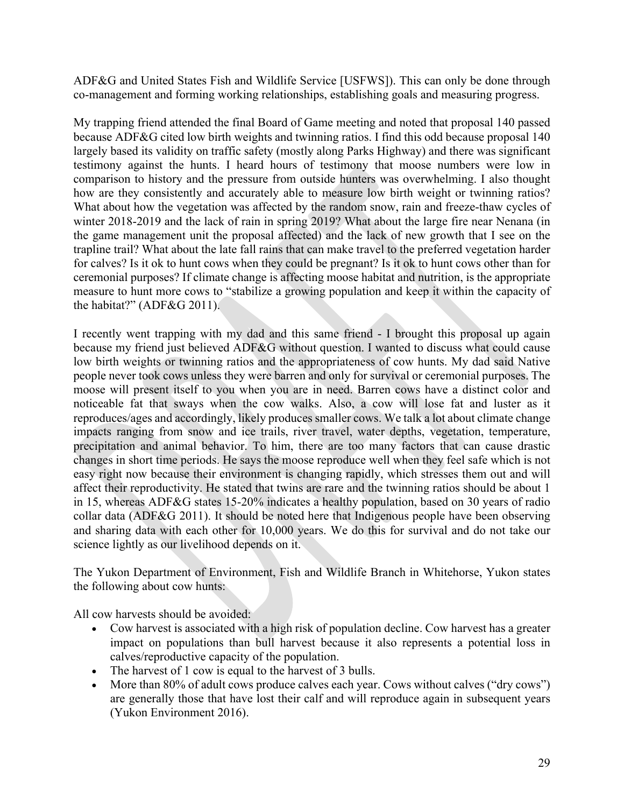ADF&G and United States Fish and Wildlife Service [USFWS]). This can only be done through co-management and forming working relationships, establishing goals and measuring progress.

My trapping friend attended the final Board of Game meeting and noted that proposal 140 passed because ADF&G cited low birth weights and twinning ratios. I find this odd because proposal 140 largely based its validity on traffic safety (mostly along Parks Highway) and there was significant testimony against the hunts. I heard hours of testimony that moose numbers were low in comparison to history and the pressure from outside hunters was overwhelming. I also thought how are they consistently and accurately able to measure low birth weight or twinning ratios? What about how the vegetation was affected by the random snow, rain and freeze-thaw cycles of winter 2018-2019 and the lack of rain in spring 2019? What about the large fire near Nenana (in the game management unit the proposal affected) and the lack of new growth that I see on the trapline trail? What about the late fall rains that can make travel to the preferred vegetation harder for calves? Is it ok to hunt cows when they could be pregnant? Is it ok to hunt cows other than for ceremonial purposes? If climate change is affecting moose habitat and nutrition, is the appropriate measure to hunt more cows to "stabilize a growing population and keep it within the capacity of the habitat?" (ADF&G 2011).

I recently went trapping with my dad and this same friend - I brought this proposal up again because my friend just believed ADF&G without question. I wanted to discuss what could cause low birth weights or twinning ratios and the appropriateness of cow hunts. My dad said Native people never took cows unless they were barren and only for survival or ceremonial purposes. The moose will present itself to you when you are in need. Barren cows have a distinct color and noticeable fat that sways when the cow walks. Also, a cow will lose fat and luster as it reproduces/ages and accordingly, likely produces smaller cows. We talk a lot about climate change impacts ranging from snow and ice trails, river travel, water depths, vegetation, temperature, precipitation and animal behavior. To him, there are too many factors that can cause drastic changes in short time periods. He says the moose reproduce well when they feel safe which is not easy right now because their environment is changing rapidly, which stresses them out and will affect their reproductivity. He stated that twins are rare and the twinning ratios should be about 1 in 15, whereas ADF&G states 15-20% indicates a healthy population, based on 30 years of radio collar data (ADF&G 2011). It should be noted here that Indigenous people have been observing and sharing data with each other for 10,000 years. We do this for survival and do not take our science lightly as our livelihood depends on it.

The Yukon Department of Environment, Fish and Wildlife Branch in Whitehorse, Yukon states the following about cow hunts:

All cow harvests should be avoided:

- Cow harvest is associated with a high risk of population decline. Cow harvest has a greater impact on populations than bull harvest because it also represents a potential loss in calves/reproductive capacity of the population.
- The harvest of 1 cow is equal to the harvest of 3 bulls.
- More than 80% of adult cows produce calves each year. Cows without calves ("dry cows") are generally those that have lost their calf and will reproduce again in subsequent years (Yukon Environment 2016).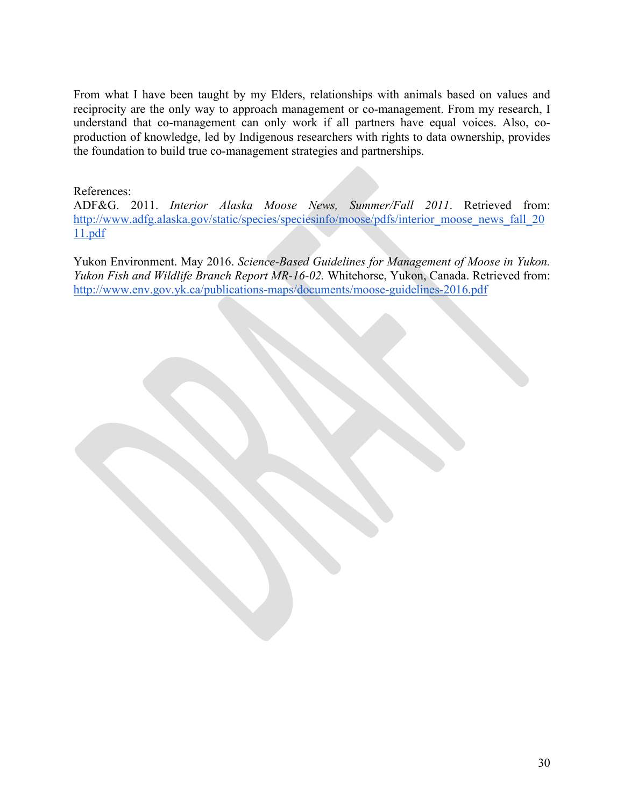From what I have been taught by my Elders, relationships with animals based on values and reciprocity are the only way to approach management or co-management. From my research, I understand that co-management can only work if all partners have equal voices. Also, coproduction of knowledge, led by Indigenous researchers with rights to data ownership, provides the foundation to build true co-management strategies and partnerships.

## References:

ADF&G. 2011. *Interior Alaska Moose News, Summer/Fall 2011*. Retrieved from: http://www.adfg.alaska.gov/static/species/speciesinfo/moose/pdfs/interior\_moose\_news\_fall\_20 11.pdf

Yukon Environment. May 2016. *Science-Based Guidelines for Management of Moose in Yukon. Yukon Fish and Wildlife Branch Report MR-16-02.* Whitehorse, Yukon, Canada. Retrieved from: http://www.env.gov.yk.ca/publications-maps/documents/moose-guidelines-2016.pdf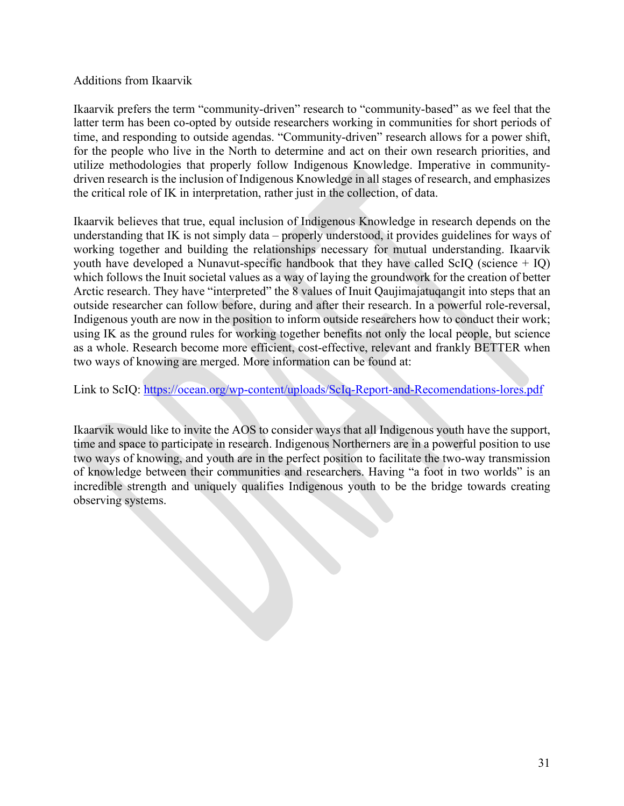## Additions from Ikaarvik

Ikaarvik prefers the term "community-driven" research to "community-based" as we feel that the latter term has been co-opted by outside researchers working in communities for short periods of time, and responding to outside agendas. "Community-driven" research allows for a power shift, for the people who live in the North to determine and act on their own research priorities, and utilize methodologies that properly follow Indigenous Knowledge. Imperative in communitydriven research is the inclusion of Indigenous Knowledge in all stages of research, and emphasizes the critical role of IK in interpretation, rather just in the collection, of data.

Ikaarvik believes that true, equal inclusion of Indigenous Knowledge in research depends on the understanding that IK is not simply data – properly understood, it provides guidelines for ways of working together and building the relationships necessary for mutual understanding. Ikaarvik youth have developed a Nunavut-specific handbook that they have called ScIQ (science  $+$  IQ) which follows the Inuit societal values as a way of laying the groundwork for the creation of better Arctic research. They have "interpreted" the 8 values of Inuit Qaujimajatuqangit into steps that an outside researcher can follow before, during and after their research. In a powerful role-reversal, Indigenous youth are now in the position to inform outside researchers how to conduct their work; using IK as the ground rules for working together benefits not only the local people, but science as a whole. Research become more efficient, cost-effective, relevant and frankly BETTER when two ways of knowing are merged. More information can be found at:

Link to ScIQ: https://ocean.org/wp-content/uploads/ScIq-Report-and-Recomendations-lores.pdf

Ikaarvik would like to invite the AOS to consider ways that all Indigenous youth have the support, time and space to participate in research. Indigenous Northerners are in a powerful position to use two ways of knowing, and youth are in the perfect position to facilitate the two-way transmission of knowledge between their communities and researchers. Having "a foot in two worlds" is an incredible strength and uniquely qualifies Indigenous youth to be the bridge towards creating observing systems.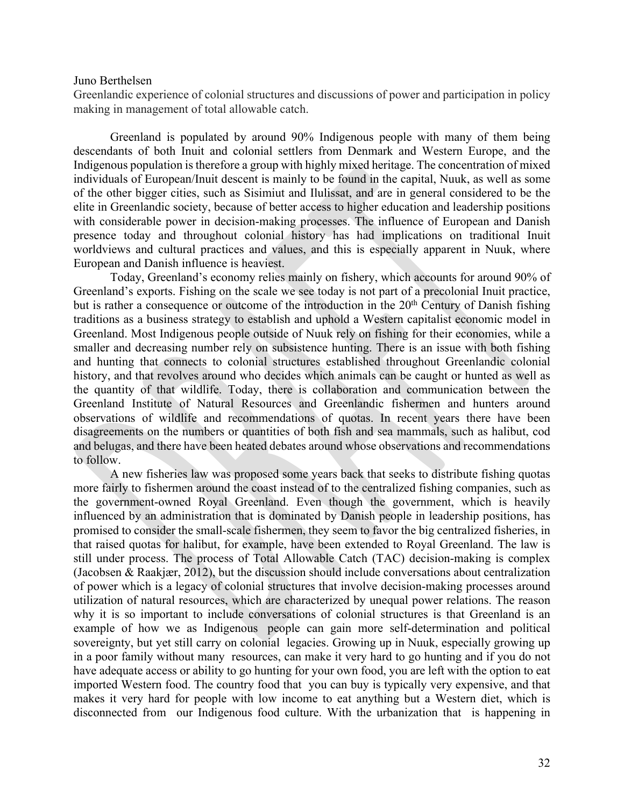#### Juno Berthelsen

Greenlandic experience of colonial structures and discussions of power and participation in policy making in management of total allowable catch.

Greenland is populated by around 90% Indigenous people with many of them being descendants of both Inuit and colonial settlers from Denmark and Western Europe, and the Indigenous population is therefore a group with highly mixed heritage. The concentration of mixed individuals of European/Inuit descent is mainly to be found in the capital, Nuuk, as well as some of the other bigger cities, such as Sisimiut and Ilulissat, and are in general considered to be the elite in Greenlandic society, because of better access to higher education and leadership positions with considerable power in decision-making processes. The influence of European and Danish presence today and throughout colonial history has had implications on traditional Inuit worldviews and cultural practices and values, and this is especially apparent in Nuuk, where European and Danish influence is heaviest.

Today, Greenland's economy relies mainly on fishery, which accounts for around 90% of Greenland's exports. Fishing on the scale we see today is not part of a precolonial Inuit practice, but is rather a consequence or outcome of the introduction in the  $20<sup>th</sup>$  Century of Danish fishing traditions as a business strategy to establish and uphold a Western capitalist economic model in Greenland. Most Indigenous people outside of Nuuk rely on fishing for their economies, while a smaller and decreasing number rely on subsistence hunting. There is an issue with both fishing and hunting that connects to colonial structures established throughout Greenlandic colonial history, and that revolves around who decides which animals can be caught or hunted as well as the quantity of that wildlife. Today, there is collaboration and communication between the Greenland Institute of Natural Resources and Greenlandic fishermen and hunters around observations of wildlife and recommendations of quotas. In recent years there have been disagreements on the numbers or quantities of both fish and sea mammals, such as halibut, cod and belugas, and there have been heated debates around whose observations and recommendations to follow.

A new fisheries law was proposed some years back that seeks to distribute fishing quotas more fairly to fishermen around the coast instead of to the centralized fishing companies, such as the government-owned Royal Greenland. Even though the government, which is heavily influenced by an administration that is dominated by Danish people in leadership positions, has promised to consider the small-scale fishermen, they seem to favor the big centralized fisheries, in that raised quotas for halibut, for example, have been extended to Royal Greenland. The law is still under process. The process of Total Allowable Catch (TAC) decision-making is complex (Jacobsen & Raakjær, 2012), but the discussion should include conversations about centralization of power which is a legacy of colonial structures that involve decision-making processes around utilization of natural resources, which are characterized by unequal power relations. The reason why it is so important to include conversations of colonial structures is that Greenland is an example of how we as Indigenous people can gain more self-determination and political sovereignty, but yet still carry on colonial legacies. Growing up in Nuuk, especially growing up in a poor family without many resources, can make it very hard to go hunting and if you do not have adequate access or ability to go hunting for your own food, you are left with the option to eat imported Western food. The country food that you can buy is typically very expensive, and that makes it very hard for people with low income to eat anything but a Western diet, which is disconnected from our Indigenous food culture. With the urbanization that is happening in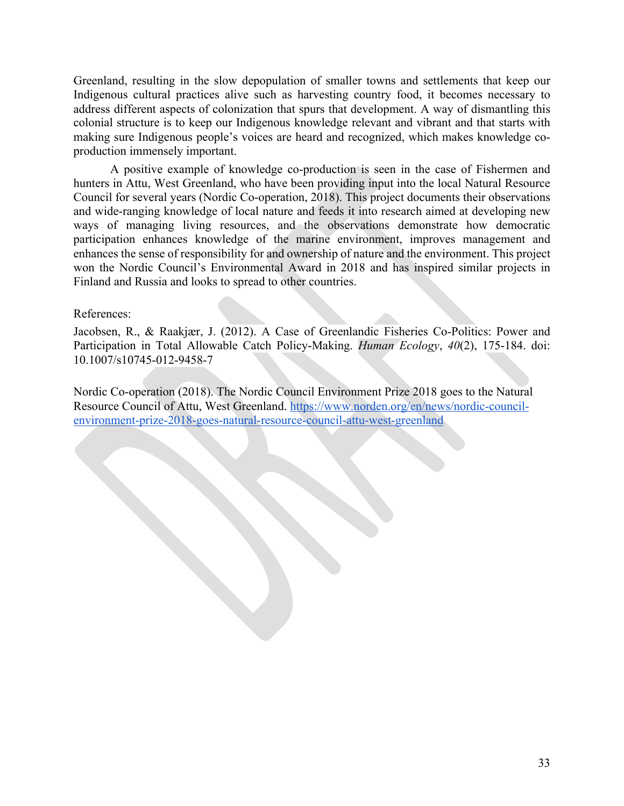Greenland, resulting in the slow depopulation of smaller towns and settlements that keep our Indigenous cultural practices alive such as harvesting country food, it becomes necessary to address different aspects of colonization that spurs that development. A way of dismantling this colonial structure is to keep our Indigenous knowledge relevant and vibrant and that starts with making sure Indigenous people's voices are heard and recognized, which makes knowledge coproduction immensely important.

A positive example of knowledge co-production is seen in the case of Fishermen and hunters in Attu, West Greenland, who have been providing input into the local Natural Resource Council for several years (Nordic Co-operation, 2018). This project documents their observations and wide-ranging knowledge of local nature and feeds it into research aimed at developing new ways of managing living resources, and the observations demonstrate how democratic participation enhances knowledge of the marine environment, improves management and enhances the sense of responsibility for and ownership of nature and the environment. This project won the Nordic Council's Environmental Award in 2018 and has inspired similar projects in Finland and Russia and looks to spread to other countries.

### References:

Jacobsen, R., & Raakjær, J. (2012). A Case of Greenlandic Fisheries Co-Politics: Power and Participation in Total Allowable Catch Policy-Making. *Human Ecology*, *40*(2), 175-184. doi: 10.1007/s10745-012-9458-7

Nordic Co-operation (2018). The Nordic Council Environment Prize 2018 goes to the Natural Resource Council of Attu, West Greenland. https://www.norden.org/en/news/nordic-councilenvironment-prize-2018-goes-natural-resource-council-attu-west-greenland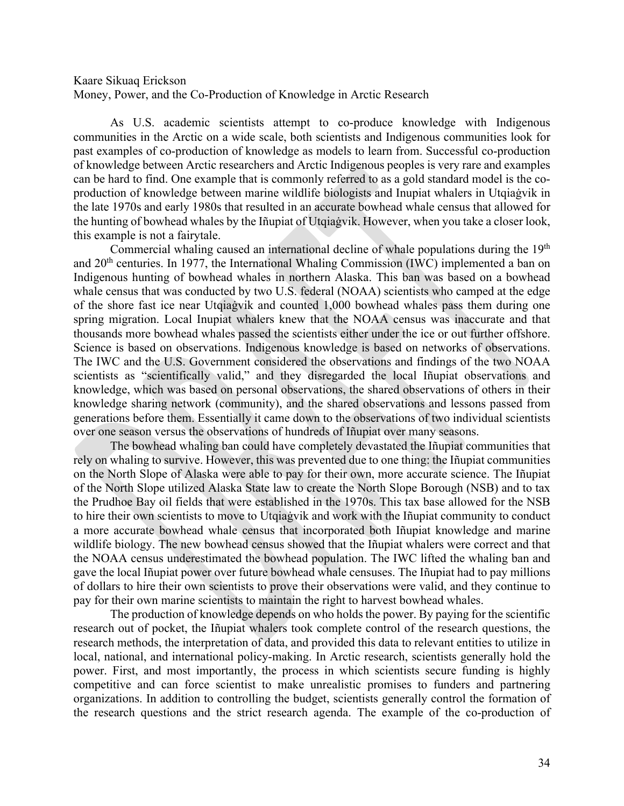## Kaare Sikuaq Erickson Money, Power, and the Co-Production of Knowledge in Arctic Research

As U.S. academic scientists attempt to co-produce knowledge with Indigenous communities in the Arctic on a wide scale, both scientists and Indigenous communities look for past examples of co-production of knowledge as models to learn from. Successful co-production of knowledge between Arctic researchers and Arctic Indigenous peoples is very rare and examples can be hard to find. One example that is commonly referred to as a gold standard model is the coproduction of knowledge between marine wildlife biologists and Inupiat whalers in Utqiaġvik in the late 1970s and early 1980s that resulted in an accurate bowhead whale census that allowed for the hunting of bowhead whales by the Iñupiat of Utqiaġvik. However, when you take a closer look, this example is not a fairytale.

Commercial whaling caused an international decline of whale populations during the  $19<sup>th</sup>$ and 20th centuries. In 1977, the International Whaling Commission (IWC) implemented a ban on Indigenous hunting of bowhead whales in northern Alaska. This ban was based on a bowhead whale census that was conducted by two U.S. federal (NOAA) scientists who camped at the edge of the shore fast ice near Utqiaġvik and counted 1,000 bowhead whales pass them during one spring migration. Local Inupiat whalers knew that the NOAA census was inaccurate and that thousands more bowhead whales passed the scientists either under the ice or out further offshore. Science is based on observations. Indigenous knowledge is based on networks of observations. The IWC and the U.S. Government considered the observations and findings of the two NOAA scientists as "scientifically valid," and they disregarded the local Iñupiat observations and knowledge, which was based on personal observations, the shared observations of others in their knowledge sharing network (community), and the shared observations and lessons passed from generations before them. Essentially it came down to the observations of two individual scientists over one season versus the observations of hundreds of Iñupiat over many seasons.

The bowhead whaling ban could have completely devastated the Iñupiat communities that rely on whaling to survive. However, this was prevented due to one thing: the Iñupiat communities on the North Slope of Alaska were able to pay for their own, more accurate science. The Iñupiat of the North Slope utilized Alaska State law to create the North Slope Borough (NSB) and to tax the Prudhoe Bay oil fields that were established in the 1970s. This tax base allowed for the NSB to hire their own scientists to move to Utqiaġvik and work with the Iñupiat community to conduct a more accurate bowhead whale census that incorporated both Iñupiat knowledge and marine wildlife biology. The new bowhead census showed that the Iñupiat whalers were correct and that the NOAA census underestimated the bowhead population. The IWC lifted the whaling ban and gave the local Iñupiat power over future bowhead whale censuses. The Iñupiat had to pay millions of dollars to hire their own scientists to prove their observations were valid, and they continue to pay for their own marine scientists to maintain the right to harvest bowhead whales.

The production of knowledge depends on who holds the power. By paying for the scientific research out of pocket, the Iñupiat whalers took complete control of the research questions, the research methods, the interpretation of data, and provided this data to relevant entities to utilize in local, national, and international policy-making. In Arctic research, scientists generally hold the power. First, and most importantly, the process in which scientists secure funding is highly competitive and can force scientist to make unrealistic promises to funders and partnering organizations. In addition to controlling the budget, scientists generally control the formation of the research questions and the strict research agenda. The example of the co-production of